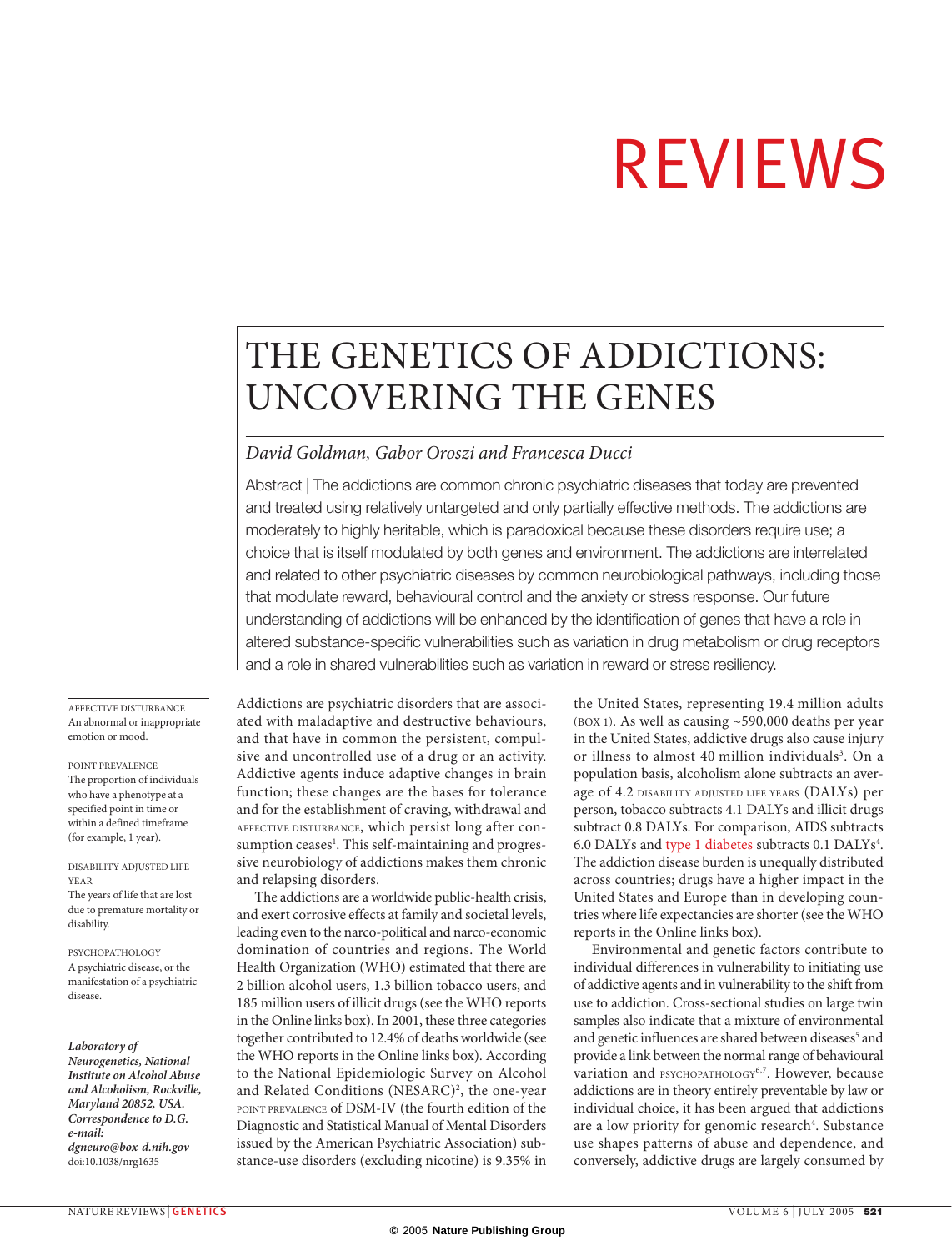# REVIEWS

# THE GENETICS OF ADDICTIONS: UNCOVERING THE GENES

# *David Goldman, Gabor Oroszi and Francesca Ducci*

Abstract | The addictions are common chronic psychiatric diseases that today are prevented and treated using relatively untargeted and only partially effective methods. The addictions are moderately to highly heritable, which is paradoxical because these disorders require use; a choice that is itself modulated by both genes and environment. The addictions are interrelated and related to other psychiatric diseases by common neurobiological pathways, including those that modulate reward, behavioural control and the anxiety or stress response. Our future understanding of addictions will be enhanced by the identification of genes that have a role in altered substance-specific vulnerabilities such as variation in drug metabolism or drug receptors and a role in shared vulnerabilities such as variation in reward or stress resiliency.

AFFECTIVE DISTURBANCE An abnormal or inappropriate emotion or mood.

POINT PREVALENCE The proportion of individuals who have a phenotype at a specified point in time or within a defined timeframe (for example, 1 year).

DISABILITY ADJUSTED LIFE YEAR The years of life that are lost

due to premature mortality or disability.

PSYCHOPATHOLOGY A psychiatric disease, or the manifestation of a psychiatric disease.

*Laboratory of Neurogenetics, National Institute on Alcohol Abuse and Alcoholism, Rockville, Maryland 20852, USA. Correspondence to D.G. e-mail: dgneuro@box-d.nih.gov* doi:10.1038/nrg1635

Addictions are psychiatric disorders that are associated with maladaptive and destructive behaviours, and that have in common the persistent, compulsive and uncontrolled use of a drug or an activity. Addictive agents induce adaptive changes in brain function; these changes are the bases for tolerance and for the establishment of craving, withdrawal and AFFECTIVE DISTURBANCE, which persist long after consumption ceases<sup>1</sup>. This self-maintaining and progressive neurobiology of addictions makes them chronic and relapsing disorders.

The addictions are a worldwide public-health crisis, and exert corrosive effects at family and societal levels, leading even to the narco-political and narco-economic domination of countries and regions. The World Health Organization (WHO) estimated that there are 2 billion alcohol users, 1.3 billion tobacco users, and 185 million users of illicit drugs (see the WHO reports in the Online links box). In 2001, these three categories together contributed to 12.4% of deaths worldwide (see the WHO reports in the Online links box). According to the National Epidemiologic Survey on Alcohol and Related Conditions (NESARC)<sup>2</sup>, the one-year POINT PREVALENCE of DSM-IV (the fourth edition of the Diagnostic and Statistical Manual of Mental Disorders issued by the American Psychiatric Association) substance-use disorders (excluding nicotine) is 9.35% in the United States, representing 19.4 million adults  $(_{\text{BOX 1}})$ . As well as causing ~590,000 deaths per year in the United States, addictive drugs also cause injury or illness to almost 40 million individuals<sup>3</sup>. On a population basis, alcoholism alone subtracts an average of 4.2 DISABILITY ADJUSTED LIFE YEARS (DALYs) per person, tobacco subtracts 4.1 DALYs and illicit drugs subtract 0.8 DALYs. For comparison, AIDS subtracts 6.0 DALYs and type 1 diabetes subtracts 0.1 DALYs<sup>4</sup>. The addiction disease burden is unequally distributed across countries; drugs have a higher impact in the United States and Europe than in developing countries where life expectancies are shorter (see the WHO reports in the Online links box).

Environmental and genetic factors contribute to individual differences in vulnerability to initiating use of addictive agents and in vulnerability to the shift from use to addiction. Cross-sectional studies on large twin samples also indicate that a mixture of environmental and genetic influences are shared between diseases<sup>5</sup> and provide a link between the normal range of behavioural variation and PSYCHOPATHOLOGY<sup>6,7</sup>. However, because addictions are in theory entirely preventable by law or individual choice, it has been argued that addictions are a low priority for genomic research<sup>4</sup>. Substance use shapes patterns of abuse and dependence, and conversely, addictive drugs are largely consumed by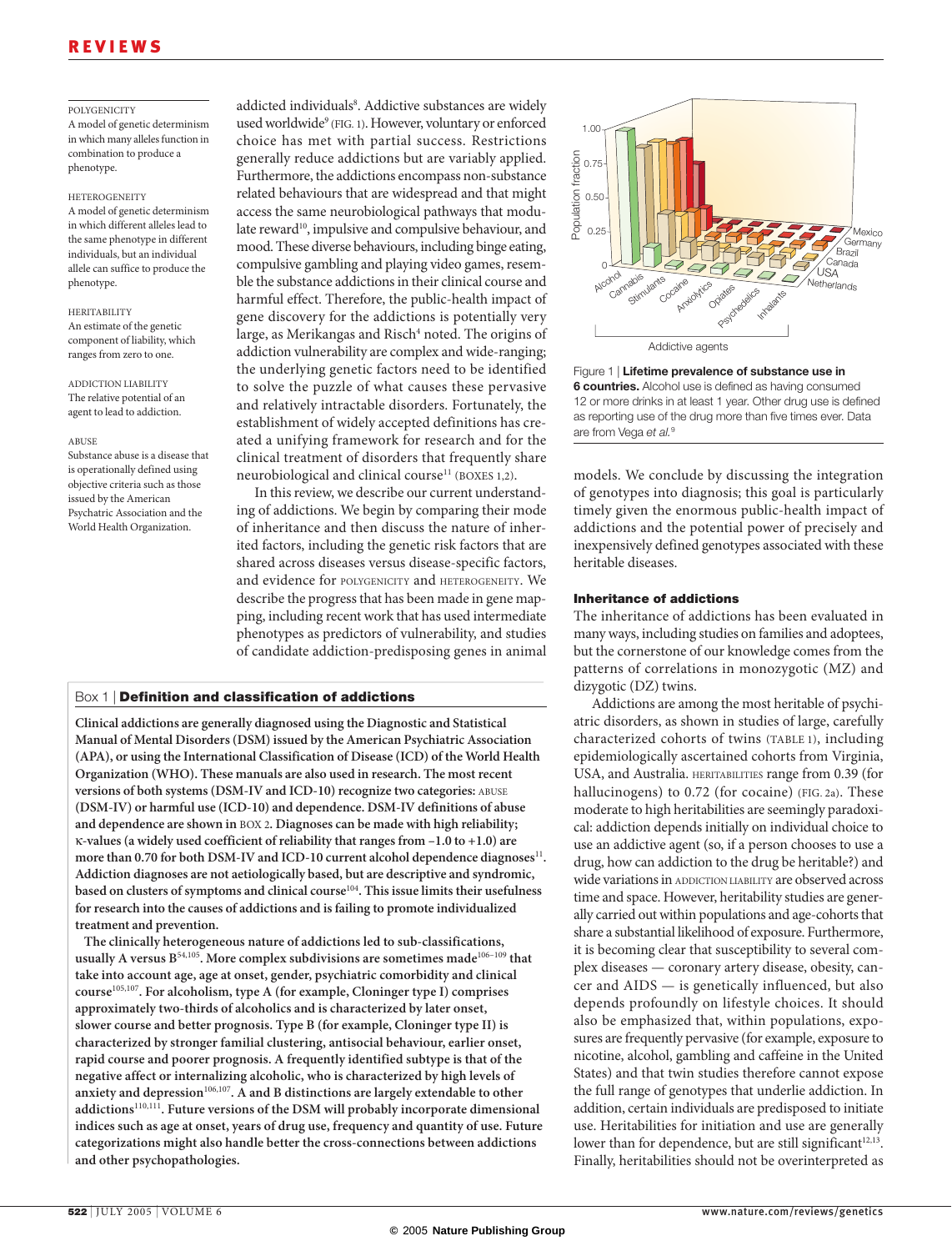# REVIEWS

#### **POLYGENICITY**

A model of genetic determinism in which many alleles function in combination to produce a phenotype.

#### HETEROGENEITY

A model of genetic determinism in which different alleles lead to the same phenotype in different individuals, but an individual allele can suffice to produce the phenotype.

#### **HERITABILITY** An estimate of the genetic component of liability, which ranges from zero to one.

ADDICTION LIABILITY The relative potential of an agent to lead to addiction.

#### ABUSE

Substance abuse is a disease that is operationally defined using objective criteria such as those issued by the American Psychatric Association and the World Health Organization.

addicted individuals<sup>8</sup>. Addictive substances are widely used worldwide<sup>9</sup> (FIG. 1). However, voluntary or enforced choice has met with partial success. Restrictions generally reduce addictions but are variably applied. Furthermore, the addictions encompass non-substance related behaviours that are widespread and that might access the same neurobiological pathways that modulate reward<sup>10</sup>, impulsive and compulsive behaviour, and mood. These diverse behaviours, including binge eating, compulsive gambling and playing video games, resemble the substance addictions in their clinical course and harmful effect. Therefore, the public-health impact of gene discovery for the addictions is potentially very large, as Merikangas and Risch<sup>4</sup> noted. The origins of addiction vulnerability are complex and wide-ranging; the underlying genetic factors need to be identified to solve the puzzle of what causes these pervasive and relatively intractable disorders. Fortunately, the establishment of widely accepted definitions has created a unifying framework for research and for the clinical treatment of disorders that frequently share neurobiological and clinical course<sup>11</sup> (BOXES 1,2).

In this review, we describe our current understanding of addictions. We begin by comparing their mode of inheritance and then discuss the nature of inherited factors, including the genetic risk factors that are shared across diseases versus disease-specific factors, and evidence for POLYGENICITY and HETEROGENEITY. We describe the progress that has been made in gene mapping, including recent work that has used intermediate phenotypes as predictors of vulnerability, and studies of candidate addiction-predisposing genes in animal

# Box 1 | **Definition and classification of addictions**

**Clinical addictions are generally diagnosed using the Diagnostic and Statistical Manual of Mental Disorders (DSM) issued by the American Psychiatric Association (APA), or using the International Classification of Disease (ICD) of the World Health Organization (WHO). These manuals are also used in research. The most recent versions of both systems (DSM-IV and ICD-10) recognize two categories:** ABUSE **(DSM-IV) or harmful use (ICD-10) and dependence. DSM-IV definitions of abuse and dependence are shown in** BOX 2**. Diagnoses can be made with high reliability;**  κ**-values (a widely used coefficient of reliability that ranges from –1.0 to +1.0) are**  more than 0.70 for both DSM-IV and ICD-10 current alcohol dependence diagnoses<sup>11</sup>. **Addiction diagnoses are not aetiologically based, but are descriptive and syndromic, based on clusters of symptoms and clinical course**<sup>104</sup>**. This issue limits their usefulness for research into the causes of addictions and is failing to promote individualized treatment and prevention.**

**The clinically heterogeneous nature of addictions led to sub-classifications, usually A versus B**54,105**. More complex subdivisions are sometimes made**106–109 **that take into account age, age at onset, gender, psychiatric comorbidity and clinical course**105,107**. For alcoholism, type A (for example, Cloninger type I) comprises approximately two-thirds of alcoholics and is characterized by later onset, slower course and better prognosis. Type B (for example, Cloninger type II) is characterized by stronger familial clustering, antisocial behaviour, earlier onset, rapid course and poorer prognosis. A frequently identified subtype is that of the negative affect or internalizing alcoholic, who is characterized by high levels of anxiety and depression**106,107**. A and B distinctions are largely extendable to other addictions**110,111**. Future versions of the DSM will probably incorporate dimensional indices such as age at onset, years of drug use, frequency and quantity of use. Future categorizations might also handle better the cross-connections between addictions and other psychopathologies.**



Figure 1 | **Lifetime prevalence of substance use in 6 countries.** Alcohol use is defined as having consumed 12 or more drinks in at least 1 year. Other drug use is defined as reporting use of the drug more than five times ever. Data are from Vega et al.<sup>9</sup>

models. We conclude by discussing the integration of genotypes into diagnosis; this goal is particularly timely given the enormous public-health impact of addictions and the potential power of precisely and inexpensively defined genotypes associated with these heritable diseases.

### **Inheritance of addictions**

The inheritance of addictions has been evaluated in many ways, including studies on families and adoptees, but the cornerstone of our knowledge comes from the patterns of correlations in monozygotic (MZ) and dizygotic (DZ) twins.

Addictions are among the most heritable of psychiatric disorders, as shown in studies of large, carefully characterized cohorts of twins (TABLE 1), including epidemiologically ascertained cohorts from Virginia, USA, and Australia. HERITABILITIES range from 0.39 (for hallucinogens) to 0.72 (for cocaine) (FIG. 2a). These moderate to high heritabilities are seemingly paradoxical: addiction depends initially on individual choice to use an addictive agent (so, if a person chooses to use a drug, how can addiction to the drug be heritable?) and wide variations in ADDICTION LIABILITY are observed across time and space. However, heritability studies are generally carried out within populations and age-cohorts that share a substantial likelihood of exposure. Furthermore, it is becoming clear that susceptibility to several complex diseases — coronary artery disease, obesity, cancer and AIDS — is genetically influenced, but also depends profoundly on lifestyle choices. It should also be emphasized that, within populations, exposures are frequently pervasive (for example, exposure to nicotine, alcohol, gambling and caffeine in the United States) and that twin studies therefore cannot expose the full range of genotypes that underlie addiction. In addition, certain individuals are predisposed to initiate use. Heritabilities for initiation and use are generally lower than for dependence, but are still significant $12,13$ . Finally, heritabilities should not be overinterpreted as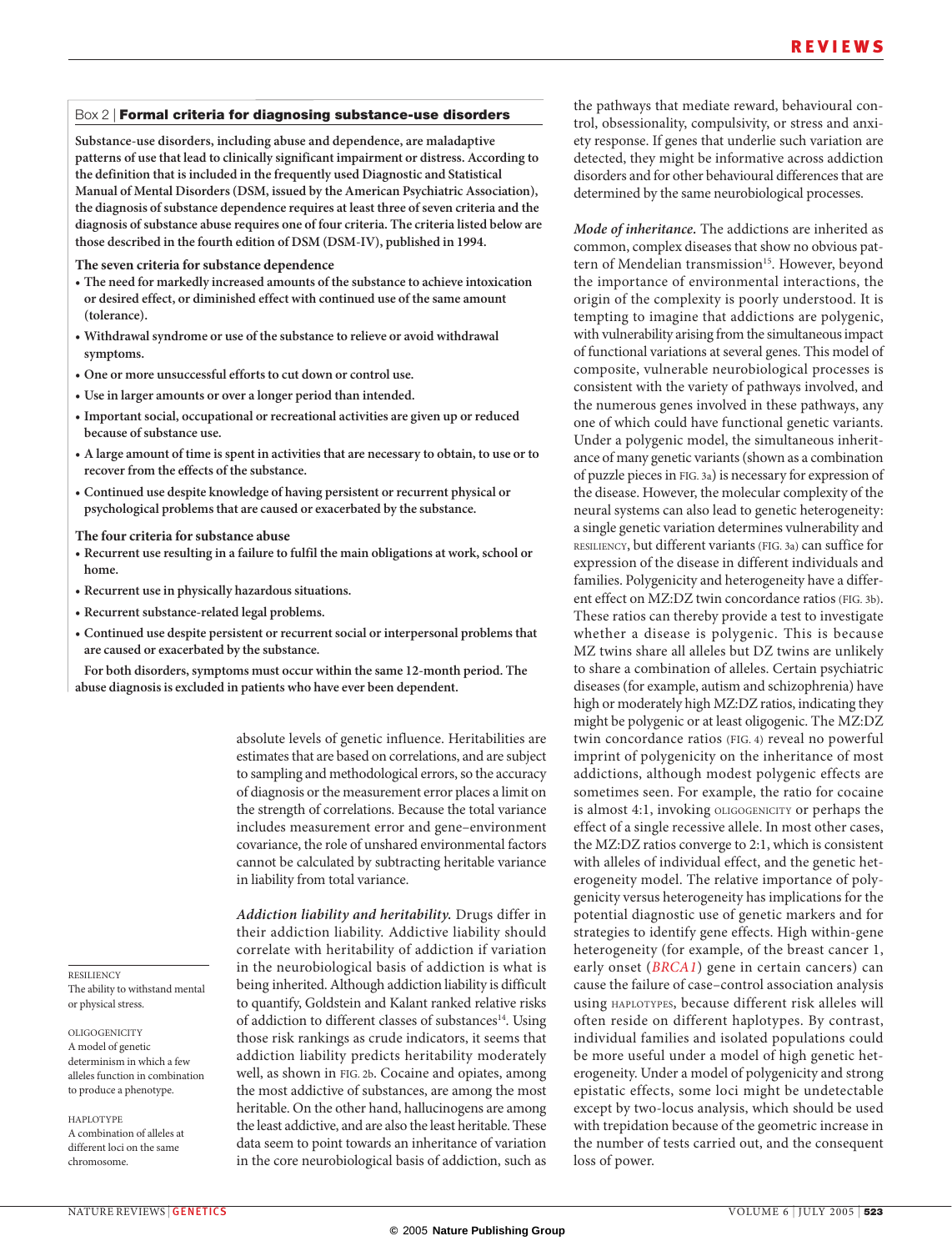#### Box 2 | **Formal criteria for diagnosing substance-use disorders**

**Substance-use disorders, including abuse and dependence, are maladaptive patterns of use that lead to clinically significant impairment or distress. According to the definition that is included in the frequently used Diagnostic and Statistical Manual of Mental Disorders (DSM, issued by the American Psychiatric Association), the diagnosis of substance dependence requires at least three of seven criteria and the diagnosis of substance abuse requires one of four criteria. The criteria listed below are those described in the fourth edition of DSM (DSM-IV), published in 1994.**

#### **The seven criteria for substance dependence**

- **The need for markedly increased amounts of the substance to achieve intoxication or desired effect, or diminished effect with continued use of the same amount (tolerance).**
- **Withdrawal syndrome or use of the substance to relieve or avoid withdrawal symptoms.**
- **One or more unsuccessful efforts to cut down or control use.**
- **Use in larger amounts or over a longer period than intended.**
- **Important social, occupational or recreational activities are given up or reduced because of substance use.**
- **A large amount of time is spent in activities that are necessary to obtain, to use or to recover from the effects of the substance.**
- **Continued use despite knowledge of having persistent or recurrent physical or psychological problems that are caused or exacerbated by the substance.**

#### **The four criteria for substance abuse**

- **Recurrent use resulting in a failure to fulfil the main obligations at work, school or home.**
- **Recurrent use in physically hazardous situations.**
- **Recurrent substance-related legal problems.**
- **Continued use despite persistent or recurrent social or interpersonal problems that are caused or exacerbated by the substance.**

**For both disorders, symptoms must occur within the same 12-month period. The abuse diagnosis is excluded in patients who have ever been dependent.**

> absolute levels of genetic influence. Heritabilities are estimates that are based on correlations, and are subject to sampling and methodological errors, so the accuracy of diagnosis or the measurement error places a limit on the strength of correlations. Because the total variance includes measurement error and gene–environment covariance, the role of unshared environmental factors cannot be calculated by subtracting heritable variance in liability from total variance.

> *Addiction liability and heritability.* Drugs differ in their addiction liability. Addictive liability should correlate with heritability of addiction if variation in the neurobiological basis of addiction is what is being inherited. Although addiction liability is difficult to quantify, Goldstein and Kalant ranked relative risks of addiction to different classes of substances<sup>14</sup>. Using those risk rankings as crude indicators, it seems that addiction liability predicts heritability moderately well, as shown in FIG. 2b. Cocaine and opiates, among the most addictive of substances, are among the most heritable. On the other hand, hallucinogens are among the least addictive, and are also the least heritable. These data seem to point towards an inheritance of variation in the core neurobiological basis of addiction, such as

the pathways that mediate reward, behavioural control, obsessionality, compulsivity, or stress and anxiety response. If genes that underlie such variation are detected, they might be informative across addiction disorders and for other behavioural differences that are determined by the same neurobiological processes.

*Mode of inheritance.* The addictions are inherited as common, complex diseases that show no obvious pattern of Mendelian transmission<sup>15</sup>. However, beyond the importance of environmental interactions, the origin of the complexity is poorly understood. It is tempting to imagine that addictions are polygenic, with vulnerability arising from the simultaneous impact of functional variations at several genes. This model of composite, vulnerable neurobiological processes is consistent with the variety of pathways involved, and the numerous genes involved in these pathways, any one of which could have functional genetic variants. Under a polygenic model, the simultaneous inheritance of many genetic variants (shown as a combination of puzzle pieces in FIG. 3a) is necessary for expression of the disease. However, the molecular complexity of the neural systems can also lead to genetic heterogeneity: a single genetic variation determines vulnerability and RESILIENCY, but different variants (FIG. 3a) can suffice for expression of the disease in different individuals and families. Polygenicity and heterogeneity have a different effect on MZ:DZ twin concordance ratios (FIG. 3b). These ratios can thereby provide a test to investigate whether a disease is polygenic. This is because MZ twins share all alleles but DZ twins are unlikely to share a combination of alleles. Certain psychiatric diseases (for example, autism and schizophrenia) have high or moderately high MZ:DZ ratios, indicating they might be polygenic or at least oligogenic. The MZ:DZ twin concordance ratios (FIG. 4) reveal no powerful imprint of polygenicity on the inheritance of most addictions, although modest polygenic effects are sometimes seen. For example, the ratio for cocaine is almost 4:1, invoking OLIGOGENICITY or perhaps the effect of a single recessive allele. In most other cases, the MZ:DZ ratios converge to 2:1, which is consistent with alleles of individual effect, and the genetic heterogeneity model. The relative importance of polygenicity versus heterogeneity has implications for the potential diagnostic use of genetic markers and for strategies to identify gene effects. High within-gene heterogeneity (for example, of the breast cancer 1, early onset (*BRCA1*) gene in certain cancers) can cause the failure of case–control association analysis using HAPLOTYPES, because different risk alleles will often reside on different haplotypes. By contrast, individual families and isolated populations could be more useful under a model of high genetic heterogeneity. Under a model of polygenicity and strong epistatic effects, some loci might be undetectable except by two-locus analysis, which should be used with trepidation because of the geometric increase in the number of tests carried out, and the consequent loss of power.

**RESILIENCY** The ability to withstand mental or physical stress.

OLIGOGENICITY A model of genetic determinism in which a few alleles function in combination to produce a phenotype.

**HAPLOTYPE** A combination of alleles at different loci on the same chromosome.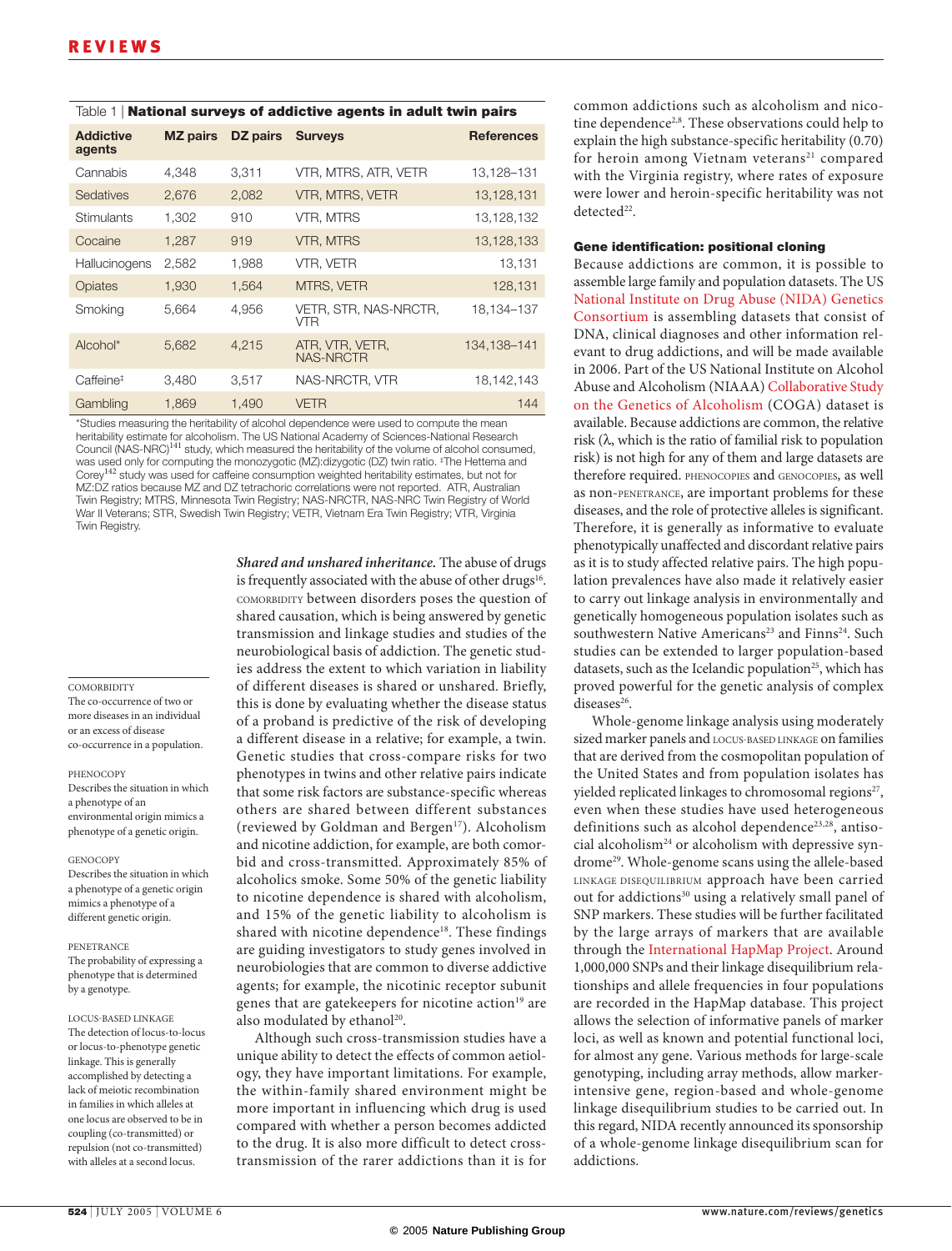| <b>Addictive</b><br>agents            | <b>MZ</b> pairs | DZ pairs | <b>Surveys</b>                      | <b>References</b> |
|---------------------------------------|-----------------|----------|-------------------------------------|-------------------|
| Cannabis                              | 4,348           | 3,311    | VTR, MTRS, ATR, VETR                | 13,128-131        |
| Sedatives                             | 2,676           | 2,082    | VTR, MTRS, VETR                     | 13,128,131        |
| Stimulants                            | 1.302           | 910      | VTR. MTRS                           | 13,128,132        |
| Cocaine                               | 1.287           | 919      | VTR, MTRS                           | 13,128,133        |
| Hallucinogens                         | 2,582           | 1,988    | VTR, VETR                           | 13,131            |
| Opiates                               | 1,930           | 1,564    | MTRS, VETR                          | 128,131           |
| Smoking                               | 5,664           | 4,956    | VETR, STR, NAS-NRCTR,<br><b>VTR</b> | 18,134-137        |
| Alcohol*                              | 5,682           | 4,215    | ATR, VTR, VETR,<br><b>NAS-NRCTR</b> | 134, 138 - 141    |
| $C$ affeine <sup><math>†</math></sup> | 3,480           | 3,517    | NAS-NRCTR, VTR                      | 18,142,143        |
| Gambling                              | 1,869           | 1,490    | <b>VETR</b>                         | 144               |

Table 1 | **National surveys of addictive agents in adult twin pairs**

\*Studies measuring the heritability of alcohol dependence were used to compute the mean heritability estimate for alcoholism. The US National Academy of Sciences-National Research<br>Council (NAS-NRC)<sup>141</sup> study, which measured the heritability of the volume of alcohol consumed, was used only for computing the monozygotic (MZ):dizygotic (DZ) twin ratio. ‡ The Hettema and Corey142 study was used for caffeine consumption weighted heritability estimates, but not for MZ:DZ ratios because MZ and DZ tetrachoric correlations were not reported. ATR, Australian Twin Registry; MTRS, Minnesota Twin Registry; NAS-NRCTR, NAS-NRC Twin Registry of World War II Veterans; STR, Swedish Twin Registry; VETR, Vietnam Era Twin Registry; VTR, Virginia Twin Registry.

**COMORBIDITY** 

The co-occurrence of two or more diseases in an individual or an excess of disease co-occurrence in a population.

#### **PHENOCOPY**

Describes the situation in which a phenotype of an environmental origin mimics a phenotype of a genetic origin.

#### **GENOCOPY**

Describes the situation in which a phenotype of a genetic origin mimics a phenotype of a different genetic origin.

#### PENETRANCE The probability of expressing a

phenotype that is determined by a genotype.

LOCUS-BASED LINKAGE The detection of locus-to-locus or locus-to-phenotype genetic linkage. This is generally accomplished by detecting a lack of meiotic recombination in families in which alleles at one locus are observed to be in coupling (co-transmitted) or repulsion (not co-transmitted) with alleles at a second locus.

*Shared and unshared inheritance.* The abuse of drugs is frequently associated with the abuse of other drugs<sup>16</sup>. COMORBIDITY between disorders poses the question of shared causation, which is being answered by genetic transmission and linkage studies and studies of the neurobiological basis of addiction. The genetic studies address the extent to which variation in liability of different diseases is shared or unshared. Briefly, this is done by evaluating whether the disease status of a proband is predictive of the risk of developing a different disease in a relative; for example, a twin. Genetic studies that cross-compare risks for two phenotypes in twins and other relative pairs indicate that some risk factors are substance-specific whereas others are shared between different substances (reviewed by Goldman and Bergen<sup>17</sup>). Alcoholism and nicotine addiction, for example, are both comorbid and cross-transmitted. Approximately 85% of alcoholics smoke. Some 50% of the genetic liability to nicotine dependence is shared with alcoholism, and 15% of the genetic liability to alcoholism is shared with nicotine dependence<sup>18</sup>. These findings are guiding investigators to study genes involved in neurobiologies that are common to diverse addictive agents; for example, the nicotinic receptor subunit genes that are gatekeepers for nicotine action<sup>19</sup> are also modulated by ethanol<sup>20</sup>.

Although such cross-transmission studies have a unique ability to detect the effects of common aetiology, they have important limitations. For example, the within-family shared environment might be more important in influencing which drug is used compared with whether a person becomes addicted to the drug. It is also more difficult to detect crosstransmission of the rarer addictions than it is for

common addictions such as alcoholism and nicotine dependence<sup>2,8</sup>. These observations could help to explain the high substance-specific heritability (0.70) for heroin among Vietnam veterans<sup>21</sup> compared with the Virginia registry, where rates of exposure were lower and heroin-specific heritability was not detected<sup>22</sup>.

#### **Gene identification: positional cloning**

Because addictions are common, it is possible to assemble large family and population datasets. The US National Institute on Drug Abuse (NIDA) Genetics Consortium is assembling datasets that consist of DNA, clinical diagnoses and other information relevant to drug addictions, and will be made available in 2006. Part of the US National Institute on Alcohol Abuse and Alcoholism (NIAAA) Collaborative Study on the Genetics of Alcoholism (COGA) dataset is available. Because addictions are common, the relative risk  $(\lambda)$ , which is the ratio of familial risk to population risk) is not high for any of them and large datasets are therefore required. PHENOCOPIES and GENOCOPIES, as well as non-PENETRANCE, are important problems for these diseases, and the role of protective alleles is significant. Therefore, it is generally as informative to evaluate phenotypically unaffected and discordant relative pairs as it is to study affected relative pairs. The high population prevalences have also made it relatively easier to carry out linkage analysis in environmentally and genetically homogeneous population isolates such as southwestern Native Americans<sup>23</sup> and Finns<sup>24</sup>. Such studies can be extended to larger population-based datasets, such as the Icelandic population<sup>25</sup>, which has proved powerful for the genetic analysis of complex diseases<sup>26</sup>.

Whole-genome linkage analysis using moderately sized marker panels and LOCUS-BASED LINKAGE On families that are derived from the cosmopolitan population of the United States and from population isolates has yielded replicated linkages to chromosomal regions<sup>27</sup>, even when these studies have used heterogeneous definitions such as alcohol dependence<sup>23,28</sup>, antisocial alcoholism<sup>24</sup> or alcoholism with depressive syndrome29. Whole-genome scans using the allele-based LINKAGE DISEQUILIBRIUM approach have been carried out for addictions<sup>30</sup> using a relatively small panel of SNP markers. These studies will be further facilitated by the large arrays of markers that are available through the International HapMap Project. Around 1,000,000 SNPs and their linkage disequilibrium relationships and allele frequencies in four populations are recorded in the HapMap database. This project allows the selection of informative panels of marker loci, as well as known and potential functional loci, for almost any gene. Various methods for large-scale genotyping, including array methods, allow markerintensive gene, region-based and whole-genome linkage disequilibrium studies to be carried out. In this regard, NIDA recently announced its sponsorship of a whole-genome linkage disequilibrium scan for addictions.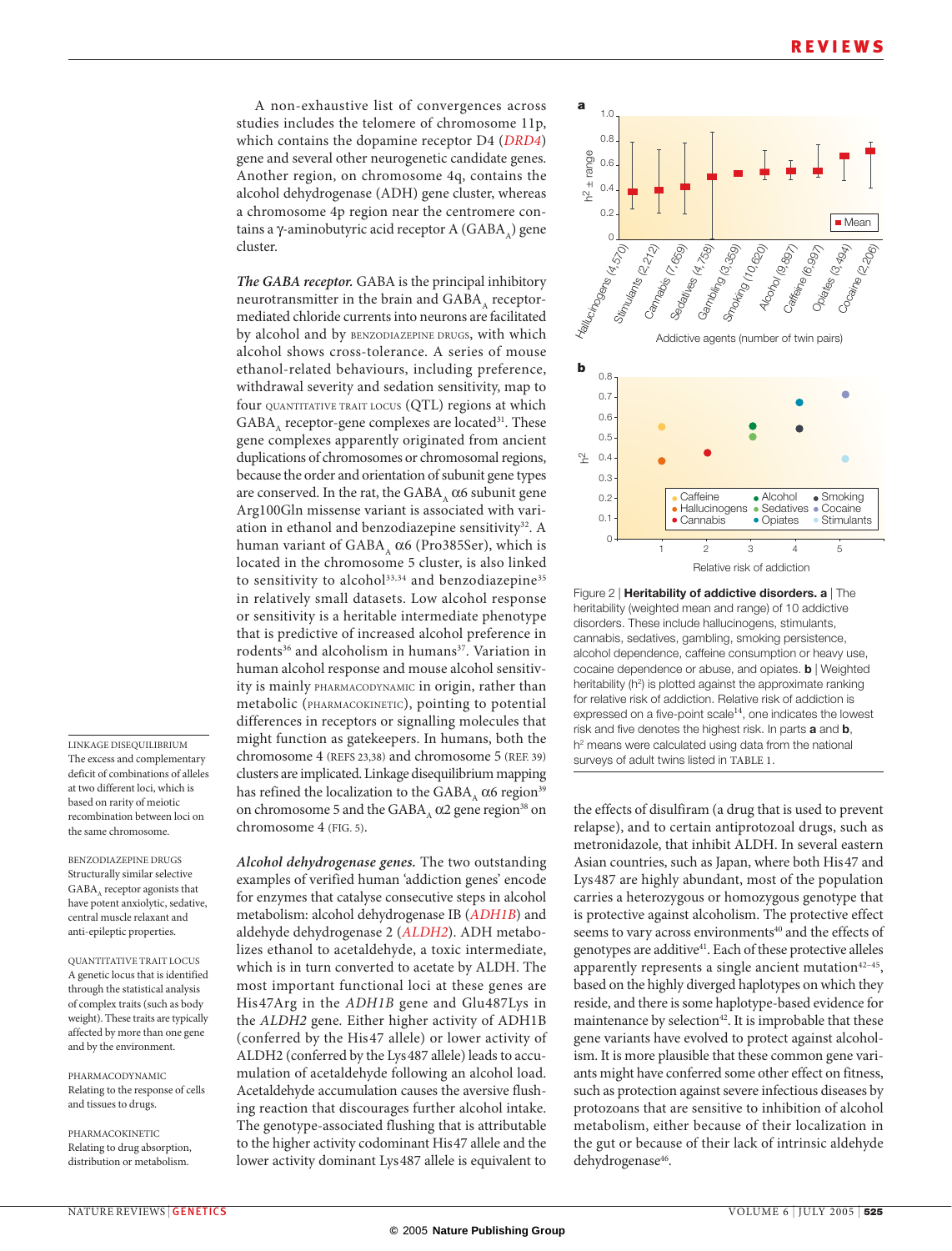A non-exhaustive list of convergences across studies includes the telomere of chromosome 11p, which contains the dopamine receptor D4 (*DRD4*) gene and several other neurogenetic candidate genes. Another region, on chromosome 4q, contains the alcohol dehydrogenase (ADH) gene cluster, whereas a chromosome 4p region near the centromere contains a γ-aminobutyric acid receptor  $A(GABA)$  gene cluster.

*The GABA receptor.* GABA is the principal inhibitory neurotransmitter in the brain and GABA, receptormediated chloride currents into neurons are facilitated by alcohol and by BENZODIAZEPINE DRUGS, with which alcohol shows cross-tolerance. A series of mouse ethanol-related behaviours, including preference, withdrawal severity and sedation sensitivity, map to four QUANTITATIVE TRAIT LOCUS (QTL) regions at which  $GABA$ <sub> $\lambda$ </sub> receptor-gene complexes are located<sup>31</sup>. These gene complexes apparently originated from ancient duplications of chromosomes or chromosomal regions, because the order and orientation of subunit gene types are conserved. In the rat, the GABA  $\alpha$ 6 subunit gene Arg100Gln missense variant is associated with variation in ethanol and benzodiazepine sensitivity<sup>32</sup>. A human variant of GABA,  $\alpha$ 6 (Pro385Ser), which is located in the chromosome 5 cluster, is also linked to sensitivity to alcohol<sup>33,34</sup> and benzodiazepine<sup>35</sup> in relatively small datasets. Low alcohol response or sensitivity is a heritable intermediate phenotype that is predictive of increased alcohol preference in rodents<sup>36</sup> and alcoholism in humans<sup>37</sup>. Variation in human alcohol response and mouse alcohol sensitivity is mainly PHARMACODYNAMIC in origin, rather than metabolic (PHARMACOKINETIC), pointing to potential differences in receptors or signalling molecules that might function as gatekeepers. In humans, both the chromosome 4 (REFS 23,38) and chromosome 5 (REF. 39) clusters are implicated. Linkage disequilibrium mapping has refined the localization to the GABA,  $\alpha$ 6 region<sup>39</sup> on chromosome 5 and the GABA $_{\alpha}$   $\alpha$ 2 gene region<sup>38</sup> on chromosome 4 (FIG. 5).

*Alcohol dehydrogenase genes.* The two outstanding examples of verified human 'addiction genes' encode for enzymes that catalyse consecutive steps in alcohol metabolism: alcohol dehydrogenase IB (*ADH1B*) and aldehyde dehydrogenase 2 (*ALDH2*). ADH metabolizes ethanol to acetaldehyde, a toxic intermediate, which is in turn converted to acetate by ALDH. The most important functional loci at these genes are His47Arg in the *ADH1B* gene and Glu487Lys in the *ALDH2* gene*.* Either higher activity of ADH1B (conferred by the His47 allele) or lower activity of ALDH2 (conferred by the Lys487 allele) leads to accumulation of acetaldehyde following an alcohol load. Acetaldehyde accumulation causes the aversive flushing reaction that discourages further alcohol intake. The genotype-associated flushing that is attributable to the higher activity codominant His47 allele and the lower activity dominant Lys487 allele is equivalent to



Figure 2 | **Heritability of addictive disorders. a** | The heritability (weighted mean and range) of 10 addictive disorders. These include hallucinogens, stimulants, cannabis, sedatives, gambling, smoking persistence, alcohol dependence, caffeine consumption or heavy use, cocaine dependence or abuse, and opiates. **b** | Weighted heritability (h<sup>2</sup>) is plotted against the approximate ranking for relative risk of addiction. Relative risk of addiction is expressed on a five-point  $scale<sup>14</sup>$ , one indicates the lowest risk and five denotes the highest risk. In parts **a** and **b**, h<sup>2</sup> means were calculated using data from the national surveys of adult twins listed in TABLE 1.

the effects of disulfiram (a drug that is used to prevent relapse), and to certain antiprotozoal drugs, such as metronidazole, that inhibit ALDH. In several eastern Asian countries, such as Japan, where both His47 and Lys487 are highly abundant, most of the population carries a heterozygous or homozygous genotype that is protective against alcoholism. The protective effect seems to vary across environments<sup>40</sup> and the effects of genotypes are additive<sup>41</sup>. Each of these protective alleles apparently represents a single ancient mutation $42-45$ , based on the highly diverged haplotypes on which they reside, and there is some haplotype-based evidence for maintenance by selection<sup>42</sup>. It is improbable that these gene variants have evolved to protect against alcoholism. It is more plausible that these common gene variants might have conferred some other effect on fitness, such as protection against severe infectious diseases by protozoans that are sensitive to inhibition of alcohol metabolism, either because of their localization in the gut or because of their lack of intrinsic aldehyde dehydrogenase<sup>46</sup>.

The excess and complementary deficit of combinations of alleles at two different loci, which is based on rarity of meiotic recombination between loci on the same chromosome.

LINKAGE DISEQUILIBRIUM

BENZODIAZEPINE DRUGS Structurally similar selective GABA receptor agonists that have potent anxiolytic, sedative, central muscle relaxant and anti-epileptic properties.

QUANTITATIVE TRAIT LOCUS A genetic locus that is identified through the statistical analysis of complex traits (such as body weight). These traits are typically affected by more than one gene and by the environment.

PHARMACODYNAMIC Relating to the response of cells and tissues to drugs.

PHARMACOKINETIC Relating to drug absorption, distribution or metabolism.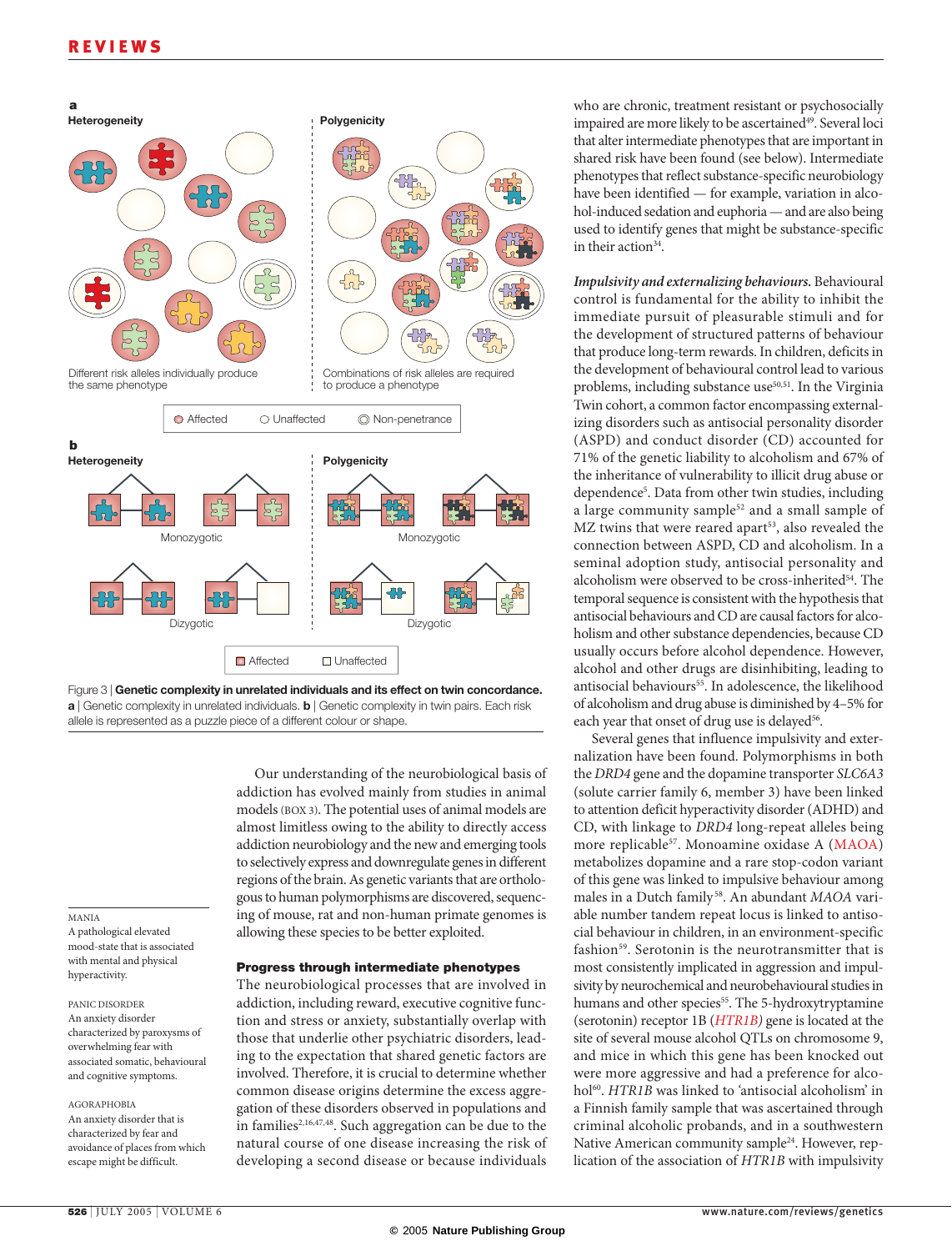



Our understanding of the neurobiological basis of addiction has evolved mainly from studies in animal models (BOX 3). The potential uses of animal models are almost limitless owing to the ability to directly access addiction neurobiology and the new and emerging tools to selectively express and downregulate genes in different regions of the brain. As genetic variants that are orthologous to human polymorphisms are discovered, sequencing of mouse, rat and non-human primate genomes is allowing these species to be better exploited.

**Progress through intermediate phenotypes** The neurobiological processes that are involved in addiction, including reward, executive cognitive function and stress or anxiety, substantially overlap with those that underlie other psychiatric disorders, leading to the expectation that shared genetic factors are involved. Therefore, it is crucial to determine whether common disease origins determine the excess aggregation of these disorders observed in populations and in families<sup>2,16,47,48</sup>. Such aggregation can be due to the natural course of one disease increasing the risk of developing a second disease or because individuals

MANIA

#### A pathological elevated mood-state that is associated with mental and physical hyperactivity.

#### PANIC DISORDER An anxiety disorder characterized by paroxysms of overwhelming fear with associated somatic, behavioural and cognitive symptoms.

AGORAPHOBIA An anxiety disorder that is characterized by fear and avoidance of places from which escape might be difficult.

who are chronic, treatment resistant or psychosocially impaired are more likely to be ascertained<sup>49</sup>. Several loci that alter intermediate phenotypes that are important in shared risk have been found (see below). Intermediate phenotypes that reflect substance-specific neurobiology have been identified — for example, variation in alcohol-induced sedation and euphoria — and are also being used to identify genes that might be substance-specific in their action<sup>34</sup>.

*Impulsivity and externalizing behaviours.* Behavioural control is fundamental for the ability to inhibit the immediate pursuit of pleasurable stimuli and for the development of structured patterns of behaviour that produce long-term rewards. In children, deficits in the development of behavioural control lead to various problems, including substance use<sup>50,51</sup>. In the Virginia Twin cohort, a common factor encompassing externalizing disorders such as antisocial personality disorder (ASPD) and conduct disorder (CD) accounted for 71% of the genetic liability to alcoholism and 67% of the inheritance of vulnerability to illicit drug abuse or dependence<sup>5</sup>. Data from other twin studies, including a large community sample<sup>52</sup> and a small sample of MZ twins that were reared apart<sup>53</sup>, also revealed the connection between ASPD, CD and alcoholism. In a seminal adoption study, antisocial personality and alcoholism were observed to be cross-inherited<sup>54</sup>. The temporal sequence is consistent with the hypothesis that antisocial behaviours and CD are causal factors for alcoholism and other substance dependencies, because CD usually occurs before alcohol dependence. However, alcohol and other drugs are disinhibiting, leading to antisocial behaviours<sup>55</sup>. In adolescence, the likelihood of alcoholism and drug abuse is diminished by 4–5% for each year that onset of drug use is delayed<sup>56</sup>.

Several genes that influence impulsivity and externalization have been found. Polymorphisms in both the *DRD4* gene and the dopamine transporter *SLC6A3* (solute carrier family 6, member 3) have been linked to attention deficit hyperactivity disorder (ADHD) and CD, with linkage to *DRD4* long-repeat alleles being more replicable<sup>57</sup>. Monoamine oxidase A (MAOA) metabolizes dopamine and a rare stop-codon variant of this gene was linked to impulsive behaviour among males in a Dutch family 58. An abundant *MAOA* variable number tandem repeat locus is linked to antisocial behaviour in children, in an environment-specific fashion<sup>59</sup>. Serotonin is the neurotransmitter that is most consistently implicated in aggression and impulsivity by neurochemical and neurobehavioural studies in humans and other species<sup>55</sup>. The 5-hydroxytryptamine (serotonin) receptor 1B (*HTR1B)* gene is located at the site of several mouse alcohol QTLs on chromosome 9, and mice in which this gene has been knocked out were more aggressive and had a preference for alcohol<sup>60</sup>. *HTR1B* was linked to 'antisocial alcoholism' in a Finnish family sample that was ascertained through criminal alcoholic probands, and in a southwestern Native American community sample<sup>24</sup>. However, replication of the association of *HTR1B* with impulsivity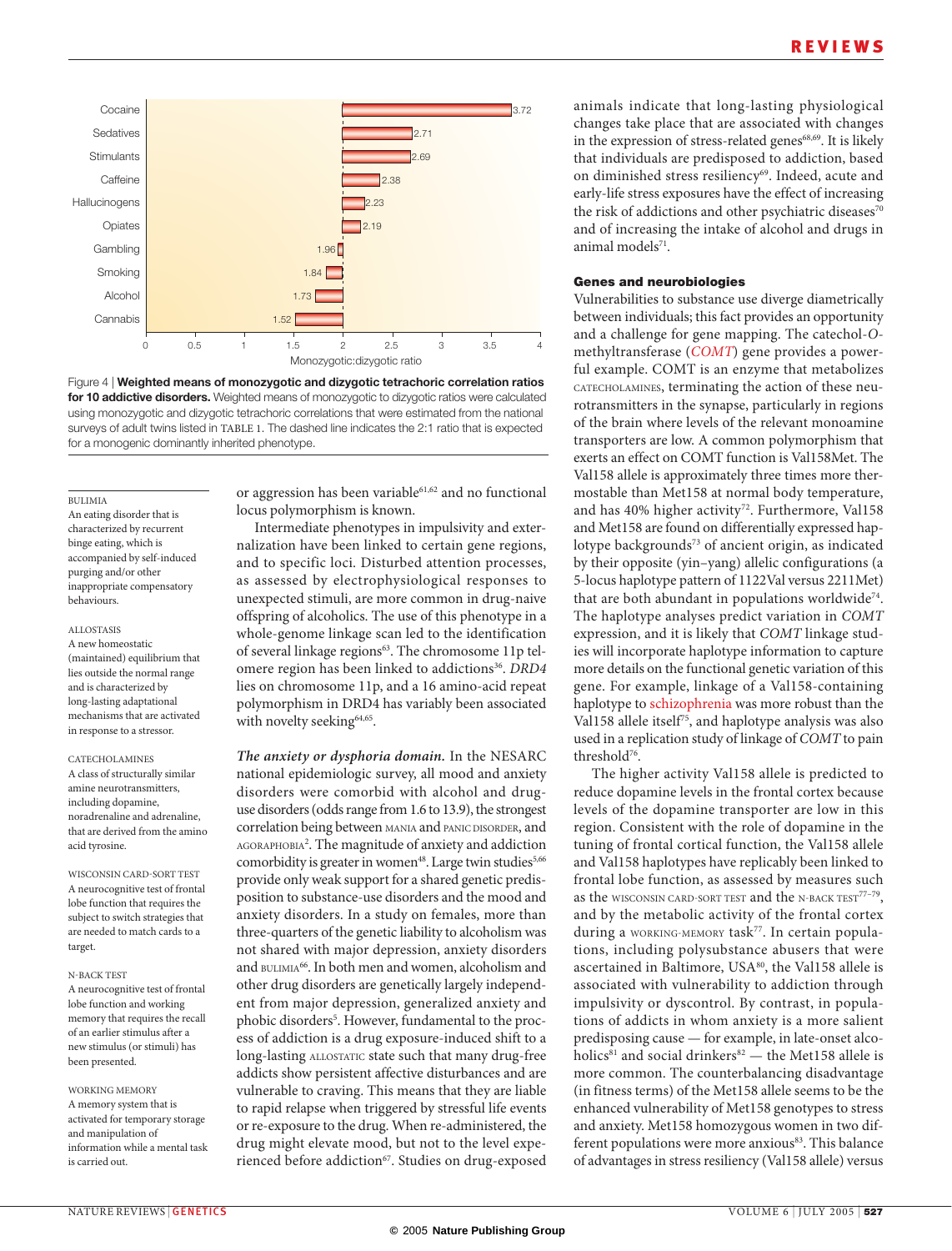

Figure 4 | **Weighted means of monozygotic and dizygotic tetrachoric correlation ratios for 10 addictive disorders.** Weighted means of monozygotic to dizygotic ratios were calculated using monozygotic and dizygotic tetrachoric correlations that were estimated from the national surveys of adult twins listed in TABLE 1. The dashed line indicates the 2:1 ratio that is expected for a monogenic dominantly inherited phenotype.

#### BULIMIA

An eating disorder that is characterized by recurrent binge eating, which is accompanied by self-induced purging and/or other inappropriate compensatory behaviours.

#### ALLOSTASIS

A new homeostatic (maintained) equilibrium that lies outside the normal range and is characterized by long-lasting adaptational mechanisms that are activated in response to a stressor.

#### CATECHOLAMINES A class of structurally similar amine neurotransmitters, including dopamine, noradrenaline and adrenaline, that are derived from the amino acid tyrosine.

WISCONSIN CARD-SORT TEST A neurocognitive test of frontal lobe function that requires the subject to switch strategies that are needed to match cards to a target.

#### N-BACK TEST

A neurocognitive test of frontal lobe function and working memory that requires the recall of an earlier stimulus after a new stimulus (or stimuli) has been presented.

# WORKING MEMORY A memory system that is

activated for temporary storage and manipulation of information while a mental task is carried out.

or aggression has been variable $61,62$  and no functional locus polymorphism is known.

Intermediate phenotypes in impulsivity and externalization have been linked to certain gene regions, and to specific loci. Disturbed attention processes, as assessed by electrophysiological responses to unexpected stimuli, are more common in drug-naive offspring of alcoholics. The use of this phenotype in a whole-genome linkage scan led to the identification of several linkage regions<sup>63</sup>. The chromosome 11p telomere region has been linked to addictions<sup>36</sup>. *DRD4* lies on chromosome 11p, and a 16 amino-acid repeat polymorphism in DRD4 has variably been associated with novelty seeking<sup>64,65</sup>.

*The anxiety or dysphoria domain.* In the NESARC national epidemiologic survey, all mood and anxiety disorders were comorbid with alcohol and druguse disorders (odds range from 1.6 to 13.9), the strongest correlation being between MANIA and PANIC DISORDER, and AGORAPHOBIA<sup>2</sup>. The magnitude of anxiety and addiction comorbidity is greater in women<sup>48</sup>. Large twin studies<sup>5,66</sup> provide only weak support for a shared genetic predisposition to substance-use disorders and the mood and anxiety disorders. In a study on females, more than three-quarters of the genetic liability to alcoholism was not shared with major depression, anxiety disorders and BULIMIA66. In both men and women, alcoholism and other drug disorders are genetically largely independent from major depression, generalized anxiety and phobic disorders<sup>5</sup>. However, fundamental to the process of addiction is a drug exposure-induced shift to a long-lasting ALLOSTATIC state such that many drug-free addicts show persistent affective disturbances and are vulnerable to craving. This means that they are liable to rapid relapse when triggered by stressful life events or re-exposure to the drug. When re-administered, the drug might elevate mood, but not to the level experienced before addiction<sup>67</sup>. Studies on drug-exposed animals indicate that long-lasting physiological changes take place that are associated with changes in the expression of stress-related genes<sup>68,69</sup>. It is likely that individuals are predisposed to addiction, based on diminished stress resiliency<sup>69</sup>. Indeed, acute and early-life stress exposures have the effect of increasing the risk of addictions and other psychiatric diseases<sup>70</sup> and of increasing the intake of alcohol and drugs in animal models<sup>71</sup>.

#### **Genes and neurobiologies**

Vulnerabilities to substance use diverge diametrically between individuals; this fact provides an opportunity and a challenge for gene mapping. The catechol-*O*methyltransferase (*COMT*) gene provides a powerful example. COMT is an enzyme that metabolizes CATECHOLAMINES, terminating the action of these neurotransmitters in the synapse, particularly in regions of the brain where levels of the relevant monoamine transporters are low. A common polymorphism that exerts an effect on COMT function is Val158Met. The Val158 allele is approximately three times more thermostable than Met158 at normal body temperature, and has 40% higher activity<sup>72</sup>. Furthermore, Val158 and Met158 are found on differentially expressed haplotype backgrounds<sup>73</sup> of ancient origin, as indicated by their opposite (yin–yang) allelic configurations (a 5-locus haplotype pattern of 1122Val versus 2211Met) that are both abundant in populations worldwide<sup>74</sup>. The haplotype analyses predict variation in *COMT* expression, and it is likely that *COMT* linkage studies will incorporate haplotype information to capture more details on the functional genetic variation of this gene. For example, linkage of a Val158-containing haplotype to schizophrenia was more robust than the Val158 allele itself<sup>75</sup>, and haplotype analysis was also used in a replication study of linkage of *COMT* to pain threshold76.

The higher activity Val158 allele is predicted to reduce dopamine levels in the frontal cortex because levels of the dopamine transporter are low in this region. Consistent with the role of dopamine in the tuning of frontal cortical function, the Val158 allele and Val158 haplotypes have replicably been linked to frontal lobe function, as assessed by measures such as the WISCONSIN CARD-SORT TEST and the N-BACK TEST $^{77-79}$ , and by the metabolic activity of the frontal cortex during a WORKING-MEMORY task<sup>77</sup>. In certain populations, including polysubstance abusers that were ascertained in Baltimore, USA<sup>80</sup>, the Val158 allele is associated with vulnerability to addiction through impulsivity or dyscontrol. By contrast, in populations of addicts in whom anxiety is a more salient predisposing cause — for example, in late-onset alcoholics<sup>81</sup> and social drinkers<sup>82</sup> — the Met158 allele is more common. The counterbalancing disadvantage (in fitness terms) of the Met158 allele seems to be the enhanced vulnerability of Met158 genotypes to stress and anxiety. Met158 homozygous women in two different populations were more anxious<sup>83</sup>. This balance of advantages in stress resiliency (Val158 allele) versus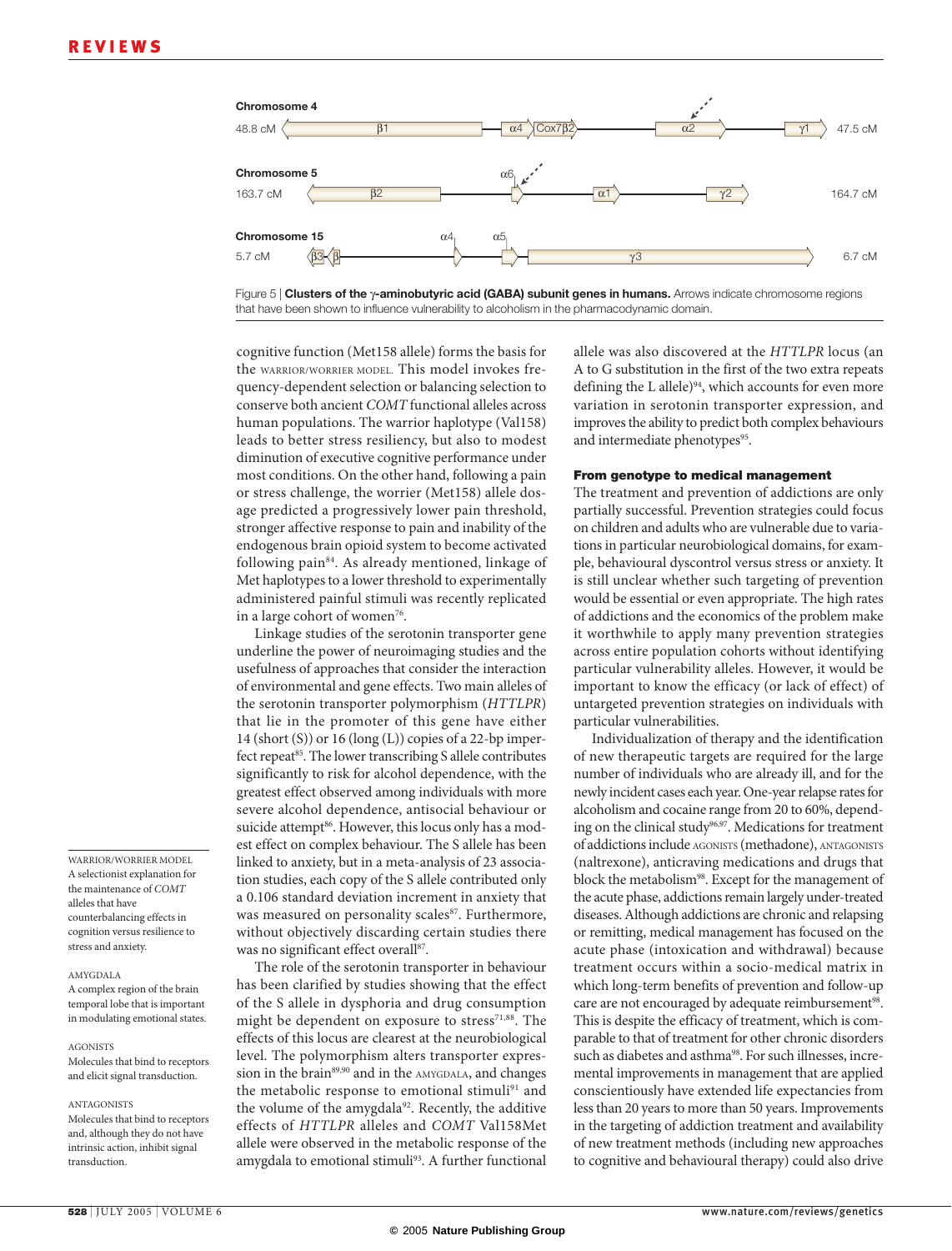

Figure 5 | **Clusters of the** γ**-aminobutyric acid (GABA) subunit genes in humans.** Arrows indicate chromosome regions that have been shown to influence vulnerability to alcoholism in the pharmacodynamic domain.

cognitive function (Met158 allele) forms the basis for the WARRIOR/WORRIER MODEL. This model invokes frequency-dependent selection or balancing selection to conserve both ancient *COMT* functional alleles across human populations. The warrior haplotype (Val158) leads to better stress resiliency, but also to modest diminution of executive cognitive performance under most conditions. On the other hand, following a pain or stress challenge, the worrier (Met158) allele dosage predicted a progressively lower pain threshold, stronger affective response to pain and inability of the endogenous brain opioid system to become activated following pain84. As already mentioned, linkage of Met haplotypes to a lower threshold to experimentally administered painful stimuli was recently replicated in a large cohort of women<sup>76</sup>.

Linkage studies of the serotonin transporter gene underline the power of neuroimaging studies and the usefulness of approaches that consider the interaction of environmental and gene effects. Two main alleles of the serotonin transporter polymorphism (*HTTLPR*) that lie in the promoter of this gene have either 14 (short  $(S)$ ) or 16 (long  $(L)$ ) copies of a 22-bp imperfect repeat<sup>85</sup>. The lower transcribing S allele contributes significantly to risk for alcohol dependence, with the greatest effect observed among individuals with more severe alcohol dependence, antisocial behaviour or suicide attempt<sup>86</sup>. However, this locus only has a modest effect on complex behaviour. The S allele has been linked to anxiety, but in a meta-analysis of 23 association studies, each copy of the S allele contributed only a 0.106 standard deviation increment in anxiety that was measured on personality scales<sup>87</sup>. Furthermore, without objectively discarding certain studies there was no significant effect overall<sup>87</sup>.

The role of the serotonin transporter in behaviour has been clarified by studies showing that the effect of the S allele in dysphoria and drug consumption might be dependent on exposure to stress<sup>71,88</sup>. The effects of this locus are clearest at the neurobiological level. The polymorphism alters transporter expression in the brain<sup>89,90</sup> and in the AMYGDALA, and changes the metabolic response to emotional stimuli<sup>91</sup> and the volume of the amygdala<sup>92</sup>. Recently, the additive effects of *HTTLPR* alleles and *COMT* Val158Met allele were observed in the metabolic response of the amygdala to emotional stimuli<sup>93</sup>. A further functional

allele was also discovered at the *HTTLPR* locus (an A to G substitution in the first of the two extra repeats defining the L allele) $94$ , which accounts for even more variation in serotonin transporter expression, and improves the ability to predict both complex behaviours and intermediate phenotypes<sup>95</sup>.

#### **From genotype to medical management**

The treatment and prevention of addictions are only partially successful. Prevention strategies could focus on children and adults who are vulnerable due to variations in particular neurobiological domains, for example, behavioural dyscontrol versus stress or anxiety. It is still unclear whether such targeting of prevention would be essential or even appropriate. The high rates of addictions and the economics of the problem make it worthwhile to apply many prevention strategies across entire population cohorts without identifying particular vulnerability alleles. However, it would be important to know the efficacy (or lack of effect) of untargeted prevention strategies on individuals with particular vulnerabilities.

Individualization of therapy and the identification of new therapeutic targets are required for the large number of individuals who are already ill, and for the newly incident cases each year. One-year relapse rates for alcoholism and cocaine range from 20 to 60%, depending on the clinical study<sup>96,97</sup>. Medications for treatment of addictions include AGONISTS (methadone), ANTAGONISTS (naltrexone), anticraving medications and drugs that block the metabolism<sup>98</sup>. Except for the management of the acute phase, addictions remain largely under-treated diseases. Although addictions are chronic and relapsing or remitting, medical management has focused on the acute phase (intoxication and withdrawal) because treatment occurs within a socio-medical matrix in which long-term benefits of prevention and follow-up care are not encouraged by adequate reimbursement<sup>98</sup>. This is despite the efficacy of treatment, which is comparable to that of treatment for other chronic disorders such as diabetes and asthma<sup>98</sup>. For such illnesses, incremental improvements in management that are applied conscientiously have extended life expectancies from less than 20 years to more than 50 years. Improvements in the targeting of addiction treatment and availability of new treatment methods (including new approaches to cognitive and behavioural therapy) could also drive

WARRIOR/WORRIER MODEL A selectionist explanation for the maintenance of *COMT* alleles that have counterbalancing effects in cognition versus resilience to stress and anxiety.

#### AMYGDALA

A complex region of the brain temporal lobe that is important in modulating emotional states.

#### AGONISTS

Molecules that bind to receptors and elicit signal transduction.

#### ANTAGONISTS

Molecules that bind to receptors and, although they do not have intrinsic action, inhibit signal transduction.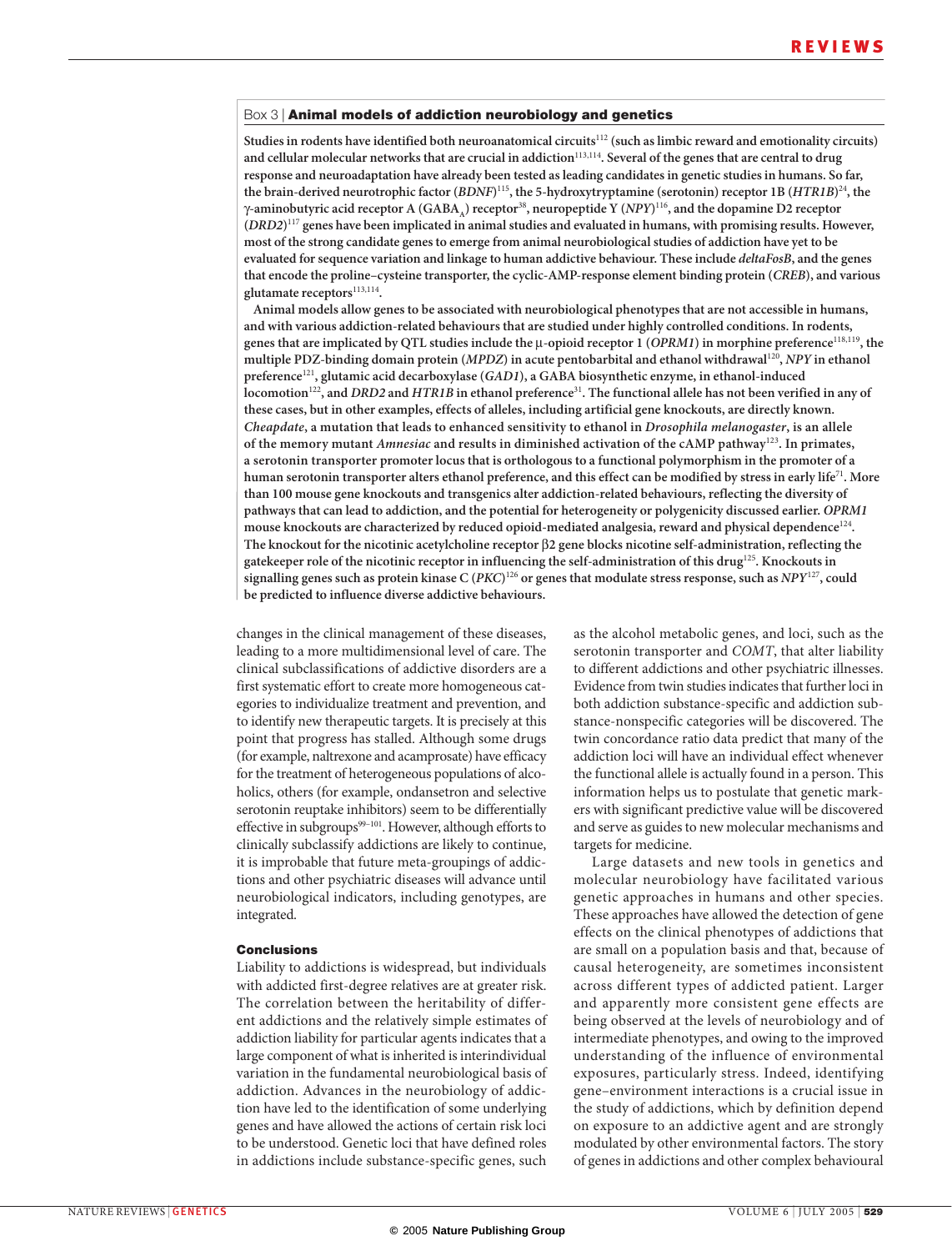#### Box 3 | **Animal models of addiction neurobiology and genetics**

**Studies in rodents have identified both neuroanatomical circuits**<sup>112</sup> **(such as limbic reward and emotionality circuits) and cellular molecular networks that are crucial in addiction**113,114**. Several of the genes that are central to drug response and neuroadaptation have already been tested as leading candidates in genetic studies in humans. So far, the brain-derived neurotrophic factor (***BDNF***)** <sup>115</sup>**, the 5-hydroxytryptamine (serotonin) receptor 1B (***HTR1B***)** <sup>24</sup>**, the**  γ**-aminobutyric acid receptor A (GABAA) receptor**<sup>38</sup>**, neuropeptide Y (***NPY***)** <sup>116</sup>**, and the dopamine D2 receptor (***DRD2***)** <sup>117</sup> **genes have been implicated in animal studies and evaluated in humans, with promising results. However, most of the strong candidate genes to emerge from animal neurobiological studies of addiction have yet to be evaluated for sequence variation and linkage to human addictive behaviour. These include** *deltaFosB***, and the genes that encode the proline–cysteine transporter, the cyclic-AMP-response element binding protein (***CREB***), and various glutamate receptors**113,114**.**

**Animal models allow genes to be associated with neurobiological phenotypes that are not accessible in humans, and with various addiction-related behaviours that are studied under highly controlled conditions. In rodents, genes that are implicated by QTL studies include the** µ**-opioid receptor 1 (***OPRM1***) in morphine preference**118,119**, the multiple PDZ-binding domain protein (***MPDZ***) in acute pentobarbital and ethanol withdrawal**<sup>120</sup>**,** *NPY* **in ethanol preference**<sup>121</sup>**, glutamic acid decarboxylase (***GAD1***), a GABA biosynthetic enzyme, in ethanol-induced locomotion**<sup>122</sup>**, and** *DRD2* **and** *HTR1B* **in ethanol preference**<sup>31</sup>**. The functional allele has not been verified in any of these cases, but in other examples, effects of alleles, including artificial gene knockouts, are directly known.**  *Cheapdate***, a mutation that leads to enhanced sensitivity to ethanol in** *Drosophila melanogaster***, is an allele of the memory mutant** *Amnesiac* **and results in diminished activation of the cAMP pathway**<sup>123</sup>**. In primates, a serotonin transporter promoter locus that is orthologous to a functional polymorphism in the promoter of a human serotonin transporter alters ethanol preference, and this effect can be modified by stress in early life**<sup>71</sup>**. More than 100 mouse gene knockouts and transgenics alter addiction-related behaviours, reflecting the diversity of pathways that can lead to addiction, and the potential for heterogeneity or polygenicity discussed earlier.** *OPRM1* **mouse knockouts are characterized by reduced opioid-mediated analgesia, reward and physical dependence**<sup>124</sup>**. The knockout for the nicotinic acetylcholine receptor** β**2 gene blocks nicotine self-administration, reflecting the gatekeeper role of the nicotinic receptor in influencing the self-administration of this drug**<sup>125</sup>**. Knockouts in signalling genes such as protein kinase C (***PKC***)** <sup>126</sup> **or genes that modulate stress response, such as** *NPY*<sup>127</sup>**, could be predicted to influence diverse addictive behaviours.**

changes in the clinical management of these diseases, leading to a more multidimensional level of care. The clinical subclassifications of addictive disorders are a first systematic effort to create more homogeneous categories to individualize treatment and prevention, and to identify new therapeutic targets. It is precisely at this point that progress has stalled. Although some drugs (for example, naltrexone and acamprosate) have efficacy for the treatment of heterogeneous populations of alcoholics, others (for example, ondansetron and selective serotonin reuptake inhibitors) seem to be differentially effective in subgroups<sup>99-101</sup>. However, although efforts to clinically subclassify addictions are likely to continue, it is improbable that future meta-groupings of addictions and other psychiatric diseases will advance until neurobiological indicators, including genotypes, are integrated.

#### **Conclusions**

Liability to addictions is widespread, but individuals with addicted first-degree relatives are at greater risk. The correlation between the heritability of different addictions and the relatively simple estimates of addiction liability for particular agents indicates that a large component of what is inherited is interindividual variation in the fundamental neurobiological basis of addiction. Advances in the neurobiology of addiction have led to the identification of some underlying genes and have allowed the actions of certain risk loci to be understood. Genetic loci that have defined roles in addictions include substance-specific genes, such as the alcohol metabolic genes, and loci, such as the serotonin transporter and *COMT*, that alter liability to different addictions and other psychiatric illnesses. Evidence from twin studies indicates that further loci in both addiction substance-specific and addiction substance-nonspecific categories will be discovered. The twin concordance ratio data predict that many of the addiction loci will have an individual effect whenever the functional allele is actually found in a person. This information helps us to postulate that genetic markers with significant predictive value will be discovered and serve as guides to new molecular mechanisms and targets for medicine.

Large datasets and new tools in genetics and molecular neurobiology have facilitated various genetic approaches in humans and other species. These approaches have allowed the detection of gene effects on the clinical phenotypes of addictions that are small on a population basis and that, because of causal heterogeneity, are sometimes inconsistent across different types of addicted patient. Larger and apparently more consistent gene effects are being observed at the levels of neurobiology and of intermediate phenotypes, and owing to the improved understanding of the influence of environmental exposures, particularly stress. Indeed, identifying gene–environment interactions is a crucial issue in the study of addictions, which by definition depend on exposure to an addictive agent and are strongly modulated by other environmental factors. The story of genes in addictions and other complex behavioural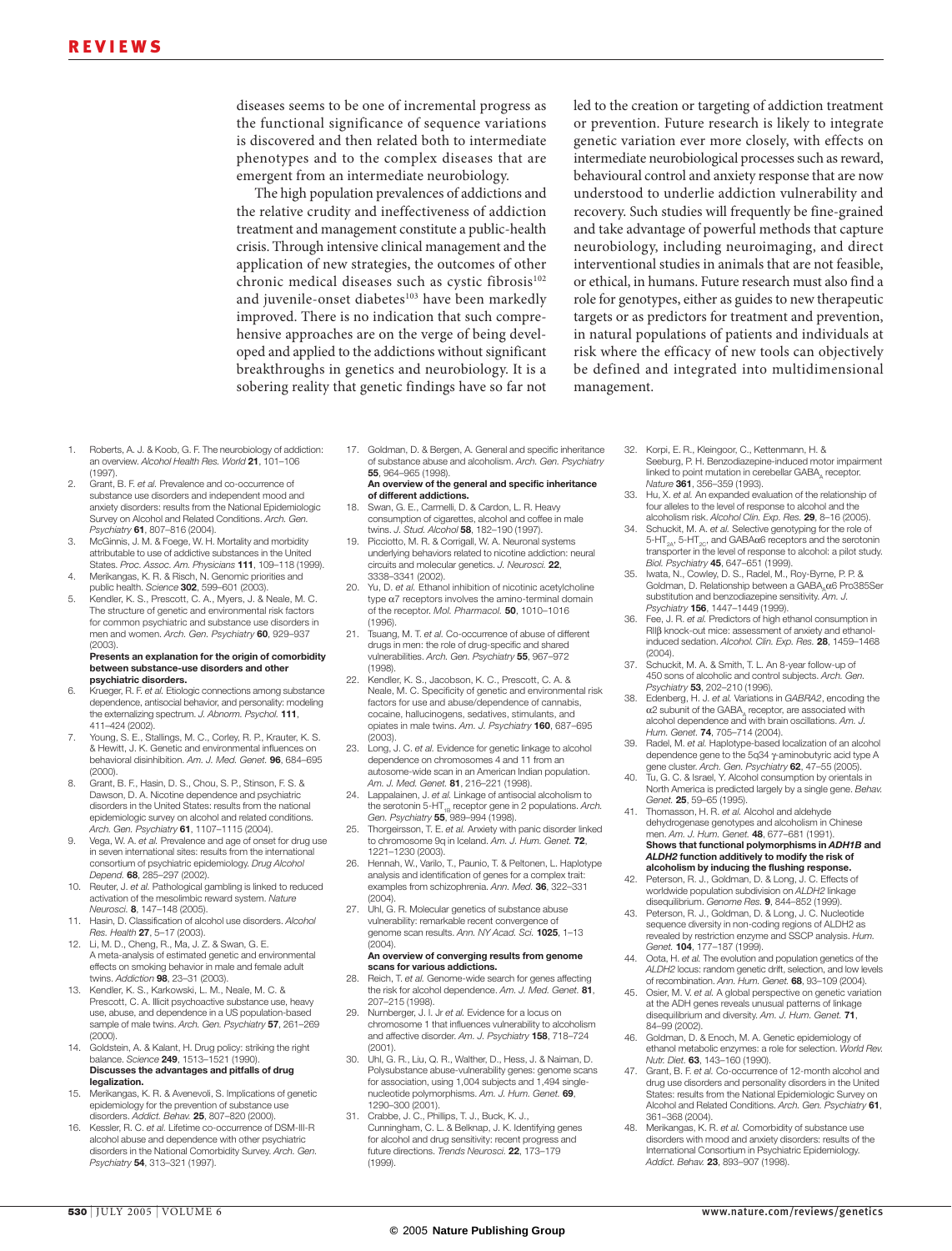diseases seems to be one of incremental progress as the functional significance of sequence variations is discovered and then related both to intermediate phenotypes and to the complex diseases that are emergent from an intermediate neurobiology.

The high population prevalences of addictions and the relative crudity and ineffectiveness of addiction treatment and management constitute a public-health crisis. Through intensive clinical management and the application of new strategies, the outcomes of other chronic medical diseases such as cystic fibrosis<sup>102</sup> and juvenile-onset diabetes<sup>103</sup> have been markedly improved. There is no indication that such comprehensive approaches are on the verge of being developed and applied to the addictions without significant breakthroughs in genetics and neurobiology. It is a sobering reality that genetic findings have so far not led to the creation or targeting of addiction treatment or prevention. Future research is likely to integrate genetic variation ever more closely, with effects on intermediate neurobiological processes such as reward, behavioural control and anxiety response that are now understood to underlie addiction vulnerability and recovery. Such studies will frequently be fine-grained and take advantage of powerful methods that capture neurobiology, including neuroimaging, and direct interventional studies in animals that are not feasible, or ethical, in humans. Future research must also find a role for genotypes, either as guides to new therapeutic targets or as predictors for treatment and prevention, in natural populations of patients and individuals at risk where the efficacy of new tools can objectively be defined and integrated into multidimensional management.

- Roberts, A. J. & Koob, G. F. The neurobiology of addiction: an overview. *Alcohol Health Res. World* **21**, 101–106 (1997).
- 2. Grant, B. F. *et al.* Prevalence and co-occurrence of substance use disorders and independent mood and anxiety disorders: results from the National Epidemiologic Survey on Alcohol and Related Conditions. *Arch. Gen. Psychiatry* **61**, 807–816 (2004).
- McGinnis, J. M. & Foege, W. H. Mortality and morbidity attributable to use of addictive substances in the United States. *Proc. Assoc. Am. Physicians* **111**, 109–118 (1999).
- 4. Merikangas, K. R. & Risch, N. Genomic priorities and public health. *Science* **302**, 599–601 (2003).
- 5. Kendler, K. S., Prescott, C. A., Myers, J. & Neale, M. C. The structure of genetic and environmental risk factors for common psychiatric and substance use disorders in men and women. *Arch. Gen. Psychiatry* **60**, 929–937 (2003).

#### **Presents an explanation for the origin of comorbidity between substance-use disorders and other psychiatric disorders.**

- 6. Krueger, R. F. *et al.* Etiologic connections among substance dependence, antisocial behavior, and personality: modeling the externalizing spectrum. *J. Abnorm. Psychol.* **111**, 411–424 (2002).
- 7. Young, S. E., Stallings, M. C., Corley, R. P., Krauter, K. S. & Hewitt, J. K. Genetic and environmental influences on behavioral disinhibition. *Am. J. Med. Genet.* **96**, 684–695 (2000).
- 8. Grant, B. F., Hasin, D. S., Chou, S. P., Stinson, F. S. & Dawson, D. A. Nicotine dependence and psychiatric disorders in the United States: results from the national epidemiologic survey on alcohol and related conditions. *Arch. Gen. Psychiatry* **61**, 1107–1115 (2004).
- 9. Vega, W. A. *et al.* Prevalence and age of onset for drug use in seven international sites: results from the international consortium of psychiatric epidemiology. *Drug Alcohol Depend.* **68**, 285–297 (2002).
- 10. Reuter, J. *et al.* Pathological gambling is linked to reduced activation of the mesolimbic reward system. *Nature Neurosci.* **8**, 147–148 (2005).
- 11. Hasin, D. Classification of alcohol use disorders. *Alcohol Res. Health* **27**, 5–17 (2003).
- 12. Li, M. D., Cheng, R., Ma, J. Z. & Swan, G. E. A meta-analysis of estimated genetic and environmental effects on smoking behavior in male and female adult twins. *Addiction* **98**, 23–31 (2003).
- 13. Kendler, K. S., Karkowski, L. M., Neale, M. C. & Prescott, C. A. Illicit psychoactive substance use, heavy use, abuse, and dependence in a US population-based sample of male twins. *Arch. Gen. Psychiatry* **57**, 261–269 (2000).
- 14. Goldstein, A. & Kalant, H. Drug policy: striking the right balance. *Science* **249**, 1513–1521 (1990). **Discusses the advantages and pitfalls of drug legalization.**
- 15. Merikangas, K. R. & Avenevoli, S. Implications of genetic epidemiology for the prevention of substance use disorders. *Addict. Behav.* **25**, 807–820 (2000).
- 16. Kessler, R. C. *et al.* Lifetime co-occurrence of DSM-III-R alcohol abuse and dependence with other psychiatric disorders in the National Comorbidity Survey. *Arch. Gen. Psychiatry* **54**, 313–321 (1997).

17. Goldman, D. & Bergen, A. General and specific inheritance of substance abuse and alcoholism. *Arch. Gen. Psychiatry*  **55**, 964–965 (1998).

**An overview of the general and specific inheritance of different addictions.** 

- 18. Swan, G. E., Carmelli, D. & Cardon, L. R. Heavy consumption of cigarettes, alcohol and coffee in male twins. *J. Stud. Alcohol* **58**, 182–190 (1997).
- Picciotto, M. R. & Corrigall, W. A. Neuronal systems underlying behaviors related to nicotine addiction: neural circuits and molecular genetics. *J. Neurosci.* **22**, 3338–3341 (2002).
- 20. Yu, D. *et al.* Ethanol inhibition of nicotinic acetylcholine type α7 receptors involves the amino-terminal domain of the receptor. *Mol. Pharmacol.* **50**, 1010–1016 (1996).
- 21. Tsuang, M. T. *et al.* Co-occurrence of abuse of different drugs in men: the role of drug-specific and shared vulnerabilities. *Arch. Gen. Psychiatry* **55**, 967–972 (1998).
- 22. Kendler, K. S., Jacobson, K. C., Prescott, C. A. & Neale, M. C. Specificity of genetic and environmental risk factors for use and abuse/dependence of cannabis, cocaine, hallucinogens, sedatives, stimulants, and opiates in male twins. *Am. J. Psychiatry* **160**, 687–695 (2003).
- 23. Long, J. C. *et al.* Evidence for genetic linkage to alcohol dependence on chromosomes 4 and 11 from an autosome-wide scan in an American Indian population. *Am. J. Med. Genet.* **81**, 216–221 (1998).
- 24. Lappalainen, J. *et al.* Linkage of antisocial alcoholism to the serotonin 5-HT<sub>1B</sub> receptor gene in 2 populations. *Arch. Gen. Psychiatry* **55**, 989–994 (1998).
- 25. Thorgeirsson, T. E. *et al.* Anxiety with panic disorder linked to chromosome 9q in Iceland. *Am. J. Hum. Genet.* **72**, 1221–1230 (2003).
- 26. Hennah, W., Varilo, T., Paunio, T. & Peltonen, L. Haplotype analysis and identification of genes for a complex trait: examples from schizophrenia. *Ann. Med.* **36**, 322–331  $(2004)$
- 27. Uhl, G. R. Molecular genetics of substance abuse vulnerability: remarkable recent convergence of genome scan results. *Ann. NY Acad. Sci.* **1025**, 1–13  $(2004)$

#### **An overview of converging results from genome scans for various addictions.**

- 28. Reich, T. *et al.* Genome-wide search for genes affecting the risk for alcohol dependence. *Am. J. Med. Genet.* **81**, 207–215 (1998).
- 29. Nurnberger, J. I. Jr *et al.* Evidence for a locus on chromosome 1 that influences vulnerability to alcoholism and affective disorder. *Am. J. Psychiatry* **158**, 718–724 (2001).
- 30. Uhl, G. R., Liu, Q. R., Walther, D., Hess, J. & Naiman, D. Polysubstance abuse-vulnerability genes: genome scans for association, using 1,004 subjects and 1,494 singlenucleotide polymorphisms. *Am. J. Hum. Genet.* **69**, 1290–300 (2001).
- 31. Crabbe, J. C., Phillips, T. J., Buck, K. J., Cunningham, C. L. & Belknap, J. K. Identifying genes for alcohol and drug sensitivity: recent progress and future directions. *Trends Neurosci.* **22**, 173–179 (1999).
- 32. Korpi, E. R., Kleingoor, C., Kettenmann, H. & Seeburg, P. H. Benzodiazepine-induced motor impairment linked to point mutation in cerebellar GABA, receptor.
- *Nature* **361**, 356–359 (1993). 33. Hu, X. *et al.* An expanded evaluation of the relationship of four alleles to the level of response to alcohol and the alcoholism risk. *Alcohol Clin. Exp. Res.* **29**, 8–16 (2005).
- 34. Schuckit, M. A. *et al.* Selective genotyping for the role of 5-HT<sub>2A</sub>, 5-HT<sub>2C</sub>, and GABAα6 receptors and the serotonin transporter in the level of response to alcohol: a pilot study. *Biol. Psychiatry* **45**, 647–651 (1999).
- 35. Iwata, N., Cowley, D. S., Radel, M., Roy-Byrne, P. P. &<br>Goldman, D. Relationship between a GABA<sub>A</sub>α6 Pro385Ser substitution and benzodiazepine sensitivity. *Am. J. Psychiatry* **156**, 1447–1449 (1999).
- 36. Fee, J. R. *et al.* Predictors of high ethanol consumption in RIIβ knock-out mice: assessment of anxiety and ethanolinduced sedation. *Alcohol. Clin. Exp. Res.* **28**, 1459–1468 (2004).
- 37. Schuckit, M. A. & Smith, T. L. An 8-year follow-up of 450 sons of alcoholic and control subjects. *Arch. Gen. Psychiatry* **53**, 202–210 (1996).
- 38. Edenberg, H. J. *et al.* Variations in *GABRA2*, encoding the  $α2$  subunit of the GABA, receptor, are associated with alcohol dependence and with brain oscillations. *Am. J. Hum. Genet.* **74**, 705–714 (2004).
- 39. Radel, M. *et al.* Haplotype-based localization of an alcohol dependence gene to the 5q34 γ-aminobutyric acid type A gene cluster. *Arch. Gen. Psychiatry* **62**, 47–55 (2005).
- 40. Tu, G. C. & Israel, Y. Alcohol consumption by orientals in North America is predicted largely by a single gene. *Behav. Genet.* **25**, 59–65 (1995).
- 41. Thomasson, H. R. *et al.* Alcohol and aldehyde dehydrogenase genotypes and alcoholism in Chinese men. *Am. J. Hum. Genet.* **48**, 677–681 (1991). **Shows that functional polymorphisms in** *ADH1B* **and**  *ALDH2* **function additively to modify the risk of**
- **alcoholism by inducing the flushing response.**  42. Peterson, R. J., Goldman, D. & Long, J. C. Effects of worldwide population subdivision on *ALDH2* linkage
- disequilibrium. *Genome Res.* **9**, 844–852 (1999). 43. Peterson, R. J., Goldman, D. & Long, J. C. Nucleotide sequence diversity in non-coding regions of ALDH2 as revealed by restriction enzyme and SSCP analysis. *Hum. Genet.* **104**, 177–187 (1999).
- Oota, H. et al. The evolution and population genetics of the *ALDH2* locus: random genetic drift, selection, and low levels of recombination. *Ann. Hum. Genet.* **68**, 93–109 (2004).
- 45. Osier, M. V. *et al.* A global perspective on genetic variation at the ADH genes reveals unusual patterns of linkage disequilibrium and diversity. *Am. J. Hum. Genet.* **71**, 84–99 (2002).
- 46. Goldman, D. & Enoch, M. A. Genetic epidemiology of ethanol metabolic enzymes: a role for selection. *World Rev. Nutr. Diet.* **63**, 143–160 (1990).
- 47. Grant, B. F. *et al.* Co-occurrence of 12-month alcohol and drug use disorders and personality disorders in the United States: results from the National Epidemiologic Survey on Alcohol and Related Conditions. *Arch. Gen. Psychiatry* **61**, 361–368 (2004).
- 48. Merikangas, K. R. *et al.* Comorbidity of substance use disorders with mood and anxiety disorders: results of the International Consortium in Psychiatric Epidemiology. *Addict. Behav.* **23**, 893–907 (1998).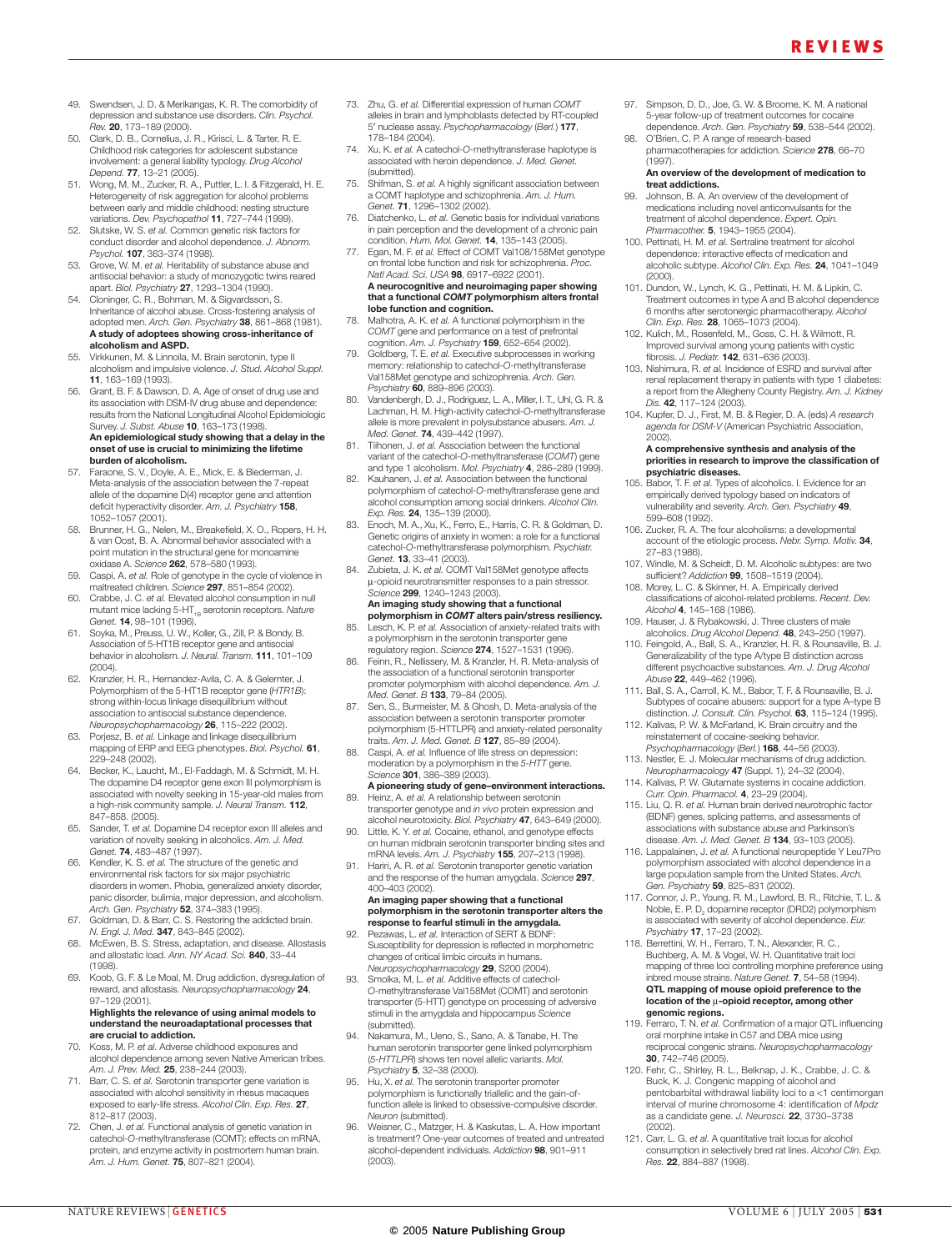- 49. Swendsen, J. D. & Merikangas, K. R. The comorbidity of depression and substance use disorders. *Clin. Psychol. Rev.* **20**, 173–189 (2000).
- 50. Clark, D. B., Cornelius, J. R., Kirisci, L. & Tarter, R. E. Childhood risk categories for adolescent substance involvement: a general liability typology. *Drug Alcohol Depend.* **77**, 13–21 (2005).
- 51. Wong, M. M., Zucker, R. A., Puttler, L. I. & Fitzgerald, H. E. Heterogeneity of risk aggregation for alcohol problems between early and middle childhood: nesting structure
- variations. *Dev. Psychopathol* **11**, 727–744 (1999). 52. Slutske, W. S. *et al.* Common genetic risk factors for conduct disorder and alcohol dependence. *J. Abnorm. Psychol.* **107**, 363–374 (1998).
- 53. Grove, W. M. *et al.* Heritability of substance abuse and antisocial behavior: a study of monozygotic twins reared apart. *Biol. Psychiatry* **27**, 1293–1304 (1990).
- 54. Cloninger, C. R., Bohman, M. & Sigvardsson, S. Inheritance of alcohol abuse. Cross-fostering analysis of adopted men. *Arch. Gen. Psychiatry* **38**, 861–868 (1981). **A study of adoptees showing cross-inheritance of alcoholism and ASPD.**
- 55. Virkkunen, M. & Linnoila, M. Brain serotonin, type II alcoholism and impulsive violence. *J. Stud. Alcohol Suppl.*  **11**, 163–169 (1993).
- 56. Grant, B. F. & Dawson, D. A. Age of onset of drug use and its association with DSM-IV drug abuse and dependence: results from the National Longitudinal Alcohol Epidemiologic Survey. *J. Subst. Abuse* **10**, 163–173 (1998). **An epidemiological study showing that a delay in the onset of use is crucial to minimizing the lifetime burden of alcoholism.**
- 57. Faraone, S. V., Doyle, A. E., Mick, E. & Biederman, J. Meta-analysis of the association between the 7-repeat allele of the dopamine D(4) receptor gene and attention deficit hyperactivity disorder. *Am. J. Psychiatry* **158**, 1052–1057 (2001).
- 58. Brunner, H. G., Nelen, M., Breakefield, X. O., Ropers, H. H. & van Oost, B. A. Abnormal behavior associated with a point mutation in the structural gene for monoamine oxidase A. *Science* **262**, 578–580 (1993).
- Caspi, A. *et al.* Role of genotype in the cycle of violence in maltreated children. *Science* **297**, 851–854 (2002). 60. Crabbe, J. C. *et al.* Elevated alcohol consumption in null
- mutant mice lacking 5-HT<sub>1B</sub> serotonin receptors. *Nature* <sup>2</sup> *Genet.* **14**, 98–101 (1996).
- 61. Soyka, M., Preuss, U. W., Koller, G., Zill, P. & Bondy, B. Association of 5-HT1B receptor gene and antisocial behavior in alcoholism. *J. Neural. Transm.* **111**, 101–109 (2004).
- 62. Kranzler, H. R., Hernandez-Avila, C. A. & Gelernter, J. Polymorphism of the 5-HT1B receptor gene (*HTR1B*): strong within-locus linkage disequilibrium without association to antisocial substance dependence. *Neuropsychopharmacology* **26**, 115–222 (2002).
- 63. Porjesz, B. *et al.* Linkage and linkage disequilibrium mapping of ERP and EEG phenotypes. *Biol. Psychol.* **61**, 229–248 (2002).
- 64. Becker, K., Laucht, M., El-Faddagh, M. & Schmidt, M. H. The dopamine D4 receptor gene exon III polymorphism is associated with novelty seeking in 15-year-old males from a high-risk community sample. *J. Neural Transm.* **112**, 847–858. (2005).
- 65. Sander, T. *et al.* Dopamine D4 receptor exon III alleles and variation of novelty seeking in alcoholics. *Am. J. Med. Genet.* **74**, 483–487 (1997).
- 66. Kendler, K. S. *et al.* The structure of the genetic and environmental risk factors for six major psychiatric disorders in women. Phobia, generalized anxiety disorder, panic disorder, bulimia, major depression, and alcoholism. *Arch. Gen. Psychiatry* **52**, 374–383 (1995).
- 67. Goldman, D. & Barr, C. S. Restoring the addicted brain. *N. Engl. J. Med.* **347**, 843–845 (2002).
- 68. McEwen, B. S. Stress, adaptation, and disease. Allostasis and allostatic load. *Ann. NY Acad. Sci.* **840**, 33–44 (1998).
- 69. Koob, G. F. & Le Moal, M. Drug addiction, dysregulation of reward, and allostasis. *Neuropsychopharmacology* **24**, 97–129 (2001).

#### **Highlights the relevance of using animal models to understand the neuroadaptational processes that are crucial to addiction.**

- 70. Koss, M. P. *et al.* Adverse childhood exposures and alcohol dependence among seven Native American tribes. *Am. J. Prev. Med.* **25**, 238–244 (2003).
- 71. Barr, C. S. *et al.* Serotonin transporter gene variation is associated with alcohol sensitivity in rhesus macaques exposed to early-life stress. *Alcohol Clin. Exp. Res.* **27**, 812–817 (2003).
- 72. Chen, J. *et al.* Functional analysis of genetic variation in catechol-*O*-methyltransferase (COMT): effects on mRNA, protein, and enzyme activity in postmortem human brain. *Am. J. Hum. Genet.* **75**, 807–821 (2004).
- 73. Zhu, G. *et al.* Differential expression of human *COMT* alleles in brain and lymphoblasts detected by RT-coupled 5′ nuclease assay. *Psychopharmacology* (*Berl.*) **177**, 178–184 (2004).
- 74. Xu, K. *et al.* A catechol-*O*-methyltransferase haplotype is associated with heroin dependence. *J. Med. Genet.*  (submitted).
- 75. Shifman, S. *et al.* A highly significant association between a COMT haplotype and schizophrenia. *Am. J. Hum. Genet.* **71**, 1296–1302 (2002).
- 76. Diatchenko, L. *et al.* Genetic basis for individual variations in pain perception and the development of a chronic pain
- condition. *Hum. Mol. Genet.* **14**, 135–143 (2005). 77. Egan, M. F. *et al.* Effect of COMT Val108/158Met genotype on frontal lobe function and risk for schizophrenia. *Proc. Natl Acad. Sci. USA* **98**, 6917–6922 (2001). **A neurocognitive and neuroimaging paper showing that a functional** *COMT* **polymorphism alters frontal lobe function and cognition.**
- 78. Malhotra, A. K. *et al.* A functional polymorphism in the *COMT* gene and performance on a test of prefrontal cognition. *Am. J. Psychiatry* **159**, 652–654 (2002).
- 79. Goldberg, T. E. *et al.* Executive subprocesses in working memory: relationship to catechol-*O*-methyltransferase Val158Met genotype and schizophrenia. *Arch. Gen. Psychiatry* **60**, 889–896 (2003).
- 80. Vandenbergh, D. J., Rodriguez, L. A., Miller, I. T., Uhl, G. R. & Lachman, H. M. High-activity catechol-*O*-methyltransferase allele is more prevalent in polysubstance abusers. *Am. J. Med. Genet.* **74**, 439–442 (1997).
- 81. Tiihonen, J. *et al.* Association between the functional variant of the catechol-*O*-methyltransferase (*COMT*) gene and type 1 alcoholism. *Mol. Psychiatry* **4**, 286–289 (1999).
- 82. Kauhanen, J. *et al.* Association between the functional polymorphism of catechol-*O*-methyltransferase gene and alcohol consumption among social drinkers. *Alcohol Clin. Exp. Res.* **24**, 135–139 (2000).
- Enoch, M. A., Xu, K., Ferro, E., Harris, C. R. & Goldman, D. Genetic origins of anxiety in women: a role for a functional catechol-*O*-methyltransferase polymorphism. *Psychiatr. Genet.* **13**, 33–41 (2003).
- 84. Zubieta, J. K. *et al.* COMT Val158Met genotype affects µ-opioid neurotransmitter responses to a pain stressor. *Science* **299**, 1240–1243 (2003). **An imaging study showing that a functional**
- **polymorphism in** *COMT* **alters pain/stress resiliency.**  85. Lesch, K. P. et al. Association of anxiety-related traits with
- a polymorphism in the serotonin transporter gene regulatory region. *Science* **274**, 1527–1531 (1996).
- 86. Feinn, R., Nellissery, M. & Kranzler, H. R. Meta-analysis of the association of a functional serotonin transporter promoter polymorphism with alcohol dependence. *Am. J. Med. Genet. B* **133**, 79–84 (2005).
- 87. Sen, S., Burmeister, M. & Ghosh, D. Meta-analysis of the association between a serotonin transporter promoter polymorphism (5-HTTLPR) and anxiety-related personality traits. *Am. J. Med. Genet. B* **127**, 85–89 (2004).
- 88. Caspi, A. *et al.* Influence of life stress on depression: moderation by a polymorphism in the *5-HTT* gene. *Science* **301**, 386–389 (2003).
- **A pioneering study of gene–environment interactions.**  89. Heinz, A. *et al.* A relationship between serotonin transporter genotype and *in vivo* protein expression and
- alcohol neurotoxicity. *Biol. Psychiatry* **47**, 643–649 (2000). 90. Little, K. Y. *et al.* Cocaine, ethanol, and genotype effects
- on human midbrain serotonin transporter binding sites and mRNA levels. *Am. J. Psychiatry* **155**, 207–213 (1998).
- 91. Hariri, A. R. *et al.* Serotonin transporter genetic variation and the response of the human amygdala. *Science* **297**, 400–403 (2002). **An imaging paper showing that a functional**

#### **polymorphism in the serotonin transporter alters the response to fearful stimuli in the amygdala.**  92. Pezawas, L. *et al.* Interaction of SERT & BDNF:

- Susceptibility for depression is reflected in morphometric changes of critical limbic circuits in humans. *Neuropsychopharmacology* **29**, S200 (2004).
- 93. Smolka, M, L. *et al.* Additive effects of catechol-*O*-methyltransferase Val158Met (COMT) and serotonin transporter (5-HTT) genotype on processing of adversive stimuli in the amygdala and hippocampus *Science* (submitted).
- 94. Nakamura, M., Ueno, S., Sano, A. & Tanabe, H. The human serotonin transporter gene linked polymorphism (*5-HTTLPR*) shows ten novel allelic variants. *Mol. Psychiatry* **5**, 32–38 (2000).
- 95. Hu, X. *et al.* The serotonin transporter promoter polymorphism is functionally triallelic and the gain-offunction allele is linked to obsessive-compulsive disorder. *Neuron* (submitted).
- 96. Weisner, C., Matzger, H. & Kaskutas, L. A. How important is treatment? One-year outcomes of treated and untreated alcohol-dependent individuals. *Addiction* **98**, 901–911 (2003).
- Simpson, D. D., Joe, G. W. & Broome, K. M. A national 5-year follow-up of treatment outcomes for cocaine dependence. *Arch. Gen. Psychiatry* **59**, 538–544 (2002).
- 98. O'Brien, C. P. A range of research-based pharmacotherapies for addiction. *Science* **278**, 66–70
	- (1997). **An overview of the development of medication to treat addictions.**
- 99. Johnson, B. A. An overview of the development of medications including novel anticonvulsants for the treatment of alcohol dependence. *Expert. Opin. Pharmacother.* **5**, 1943–1955 (2004).
- 100. Pettinati, H. M. *et al.* Sertraline treatment for alcohol dependence: interactive effects of medication and alcoholic subtype. *Alcohol Clin. Exp. Res.* **24**, 1041–1049 (2000).
- 101. Dundon, W., Lynch, K. G., Pettinati, H. M. & Lipkin, C. Treatment outcomes in type A and B alcohol dependence 6 months after serotonergic pharmacotherapy. *Alcohol Clin. Exp. Res.* **28**, 1065–1073 (2004).
- 102. Kulich, M., Rosenfeld, M., Goss, C. H. & Wilmott, R. Improved survival among young patients with cystic fibrosis. *J. Pediatr.* **142**, 631–636 (2003).
- 103. Nishimura, R. *et al.* Incidence of ESRD and survival after renal replacement therapy in patients with type 1 diabetes: a report from the Allegheny County Registry. *Am. J. Kidney Dis.* **42**, 117–124 (2003).
- 104. Kupfer, D. J., First, M. B. & Regier, D. A. (eds) *A research agenda for DSM-V* (American Psychiatric Association, 2002).

#### **A comprehensive synthesis and analysis of the priorities in research to improve the classification of psychiatric diseases.**

- 105. Babor, T. F. *et al.* Types of alcoholics. I. Evidence for an empirically derived typology based on indicators of vulnerability and severity. *Arch. Gen. Psychiatry* **49**, 599–608 (1992).
- 106. Zucker, R. A. The four alcoholisms: a developmental account of the etiologic process. *Nebr. Symp. Motiv.* **34**, 27–83 (1986).
- 107. Windle, M. & Scheidt, D. M. Alcoholic subtypes: are two sufficient? *Addiction* **99**, 1508–1519 (2004).
- 108. Morey, L. C. & Skinner, H. A. Empirically derived classifications of alcohol-related problems. *Recent. Dev. Alcohol* **4**, 145–168 (1986).
- 109. Hauser, J. & Rybakowski, J. Three clusters of male alcoholics. *Drug Alcohol Depend.* **48**, 243–250 (1997).
- 110. Feingold, A., Ball, S. A., Kranzler, H. R. & Rounsaville, B. J. Generalizability of the type A/type B distinction across different psychoactive substances. *Am. J. Drug Alcohol Abuse* **22**, 449–462 (1996).
- 111. Ball, S. A., Carroll, K. M., Babor, T. F. & Rounsaville, B. J. Subtypes of cocaine abusers: support for a type A–type B distinction. *J. Consult. Clin. Psychol.* **63**, 115–124 (1995).
- 112. Kalivas, P. W. & McFarland, K. Brain circuitry and the reinstatement of cocaine-seeking behavior. *Psychopharmacology* (*Berl.*) **168**, 44–56 (2003).
- 113. Nestler, E. J. Molecular mechanisms of drug addiction. *Neuropharmacology* **47** (Suppl. 1), 24–32 (2004).
- 114. Kalivas, P. W. Glutamate systems in cocaine addiction. *Curr. Opin. Pharmacol.* **4**, 23–29 (2004).
- 115. Liu, Q. R. *et al.* Human brain derived neurotrophic factor (BDNF) genes, splicing patterns, and assessments of associations with substance abuse and Parkinson's disease. *Am. J. Med. Genet. B* **134**, 93–103 (2005).
- 116. Lappalainen, J. *et al.* A functional neuropeptide Y Leu7Pro polymorphism associated with alcohol dependence in a large population sample from the United States. *Arch. Gen. Psychiatry* **59**, 825–831 (2002).
- 117. Connor, J. P., Young, R. M., Lawford, B. R., Ritchie, T. L. & Noble, E. P.  $D_2$  dopamine receptor (DRD2) polymorphism is associated with severity of alcohol dependence. *Eur. Psychiatry* **17**, 17–23 (2002). 118. Berrettini, W. H., Ferraro, T. N., Alexander, R. C.,
- Buchberg, A. M. & Vogel, W. H. Quantitative trait loci mapping of three loci controlling morphine preference using inbred mouse strains. *Nature Genet.* **7**, 54–58 (1994). **QTL mapping of mouse opioid preference to the location of the** µ**-opioid receptor, among other**
- **genomic regions.**  119. Ferraro, T. N. *et al.* Confirmation of a major QTL influencing oral morphine intake in C57 and DBA mice using reciprocal congenic strains. *Neuropsychopharmacology*  **30**, 742–746 (2005).
- 120. Fehr, C., Shirley, R. L., Belknap, J. K., Crabbe, J. C. & Buck, K. J. Congenic mapping of alcohol and pentobarbital withdrawal liability loci to a <1 centimorgan interval of murine chromosome 4: identification of *Mpdz* as a candidate gene. *J. Neurosci.* **22**, 3730–3738 (2002).
- 121. Carr, L. G. *et al.* A quantitative trait locus for alcohol consumption in selectively bred rat lines. *Alcohol Clin. Exp. Res.* **22**, 884–887 (1998).